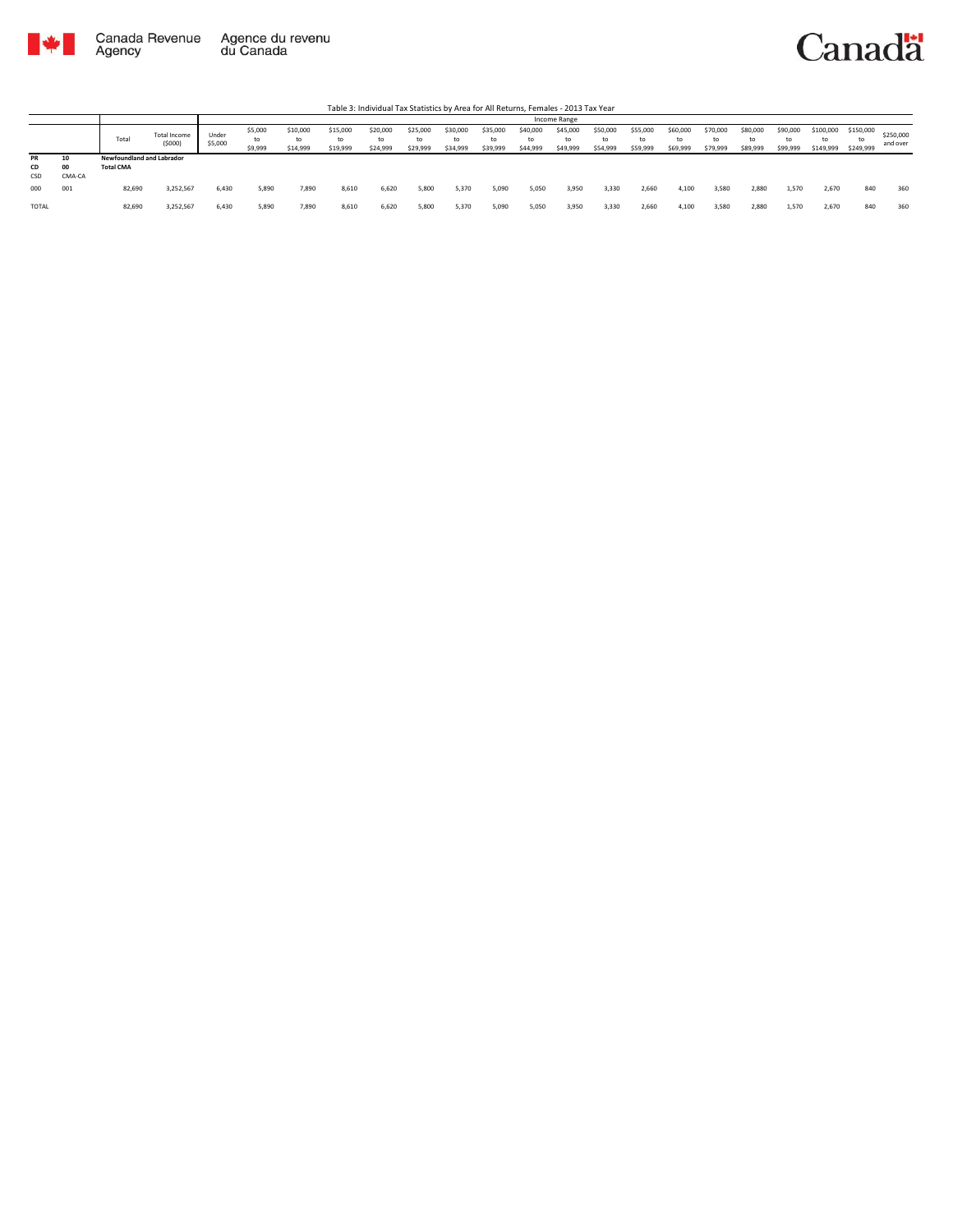

|           |              |                                  |                        |                  |                          |                            |                            | Table 3: Individual Tax Statistics by Area for All Returns, Females - 2013 Tax Year |                            |                      |                            |                            |                            |                            |                            |                            |                            |                            |                            |                        |                              |                       |
|-----------|--------------|----------------------------------|------------------------|------------------|--------------------------|----------------------------|----------------------------|-------------------------------------------------------------------------------------|----------------------------|----------------------|----------------------------|----------------------------|----------------------------|----------------------------|----------------------------|----------------------------|----------------------------|----------------------------|----------------------------|------------------------|------------------------------|-----------------------|
|           |              |                                  |                        |                  |                          |                            |                            |                                                                                     |                            |                      |                            |                            | Income Range               |                            |                            |                            |                            |                            |                            |                        |                              |                       |
|           |              | Total                            | Total Income<br>(5000) | Under<br>\$5,000 | \$5,000<br>to<br>\$9,999 | \$10,000<br>to<br>\$14,999 | \$15,000<br>to<br>\$19,999 | \$20,000<br>to<br>\$24,999                                                          | \$25,000<br>to<br>\$29,999 | \$30,000<br>\$34,999 | \$35,000<br>to<br>\$39,999 | \$40,000<br>to<br>\$44,999 | \$45,000<br>to<br>\$49,999 | \$50,000<br>to<br>\$54,999 | \$55,000<br>to<br>\$59,999 | \$60,000<br>to<br>\$69,999 | \$70,000<br>to<br>\$79,999 | \$80,000<br>to<br>\$89,999 | \$90,000<br>to<br>\$99,999 | \$100,000<br>\$149,999 | \$150,000<br>to<br>\$249,999 | \$250,000<br>and over |
| <b>PR</b> | 10           | <b>Newfoundland and Labrador</b> |                        |                  |                          |                            |                            |                                                                                     |                            |                      |                            |                            |                            |                            |                            |                            |                            |                            |                            |                        |                              |                       |
| CD<br>CSD | 00<br>CMA-CA | <b>Total CMA</b>                 |                        |                  |                          |                            |                            |                                                                                     |                            |                      |                            |                            |                            |                            |                            |                            |                            |                            |                            |                        |                              |                       |
| 000       | 001          | 82,690                           | 3,252,567              | 6,430            | 5,890                    | 7.890                      | 8,610                      | 6,620                                                                               | 5,800                      | 5,370                | 5,090                      | 5,050                      | 3,950                      | 3,330                      | 2,660                      | 4.100                      | 3,580                      | 2.880                      | 1,570                      | 2.670                  | 840                          | 360                   |
| TOTAL     |              | 82,690                           | 3,252,567              | 6,430            | 5,890                    | 7.890                      | 8,610                      | 6,620                                                                               | 5,800                      | 5,370                | 5,090                      | 5,050                      | 3,950                      | 3,330                      | 2,660                      | 4.100                      | 3,580                      | 2,880                      | 1,570                      | 2,670                  | 840                          | 360                   |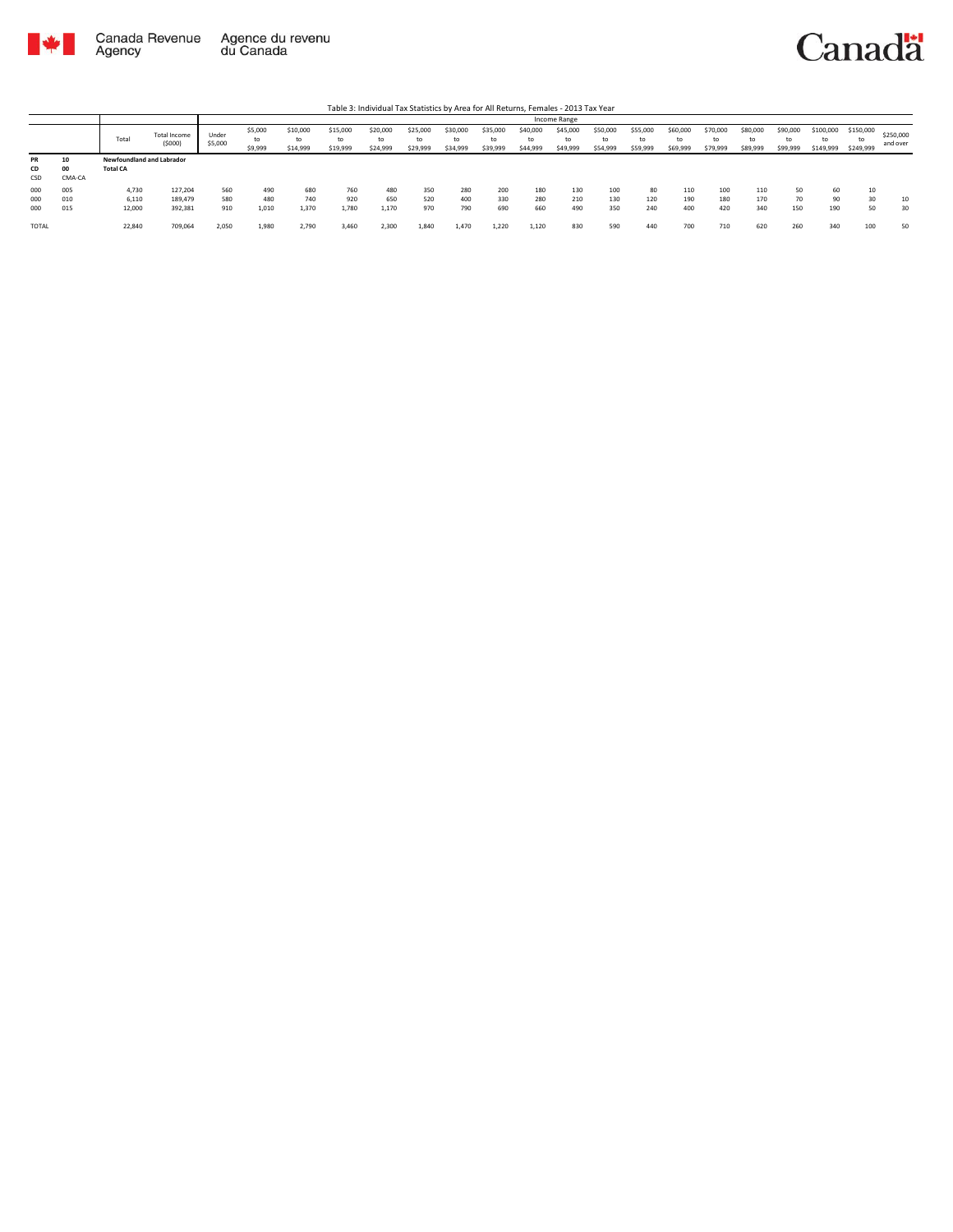



|                        |                    |                                                     |                        |                  |                          |                            |                            |                            |                            |                      |                            |                            | Income Range               |                            |                            |                      |                            |                      |                      |                              |                              |                       |
|------------------------|--------------------|-----------------------------------------------------|------------------------|------------------|--------------------------|----------------------------|----------------------------|----------------------------|----------------------------|----------------------|----------------------------|----------------------------|----------------------------|----------------------------|----------------------------|----------------------|----------------------------|----------------------|----------------------|------------------------------|------------------------------|-----------------------|
|                        |                    | Total                                               | Total Income<br>(5000) | Under<br>\$5,000 | \$5,000<br>to<br>\$9,999 | \$10,000<br>to<br>\$14,999 | \$15,000<br>to<br>\$19,999 | \$20,000<br>to<br>\$24,999 | \$25,000<br>to<br>\$29,999 | \$30,000<br>\$34,999 | \$35,000<br>to<br>\$39,999 | \$40,000<br>to<br>\$44,999 | \$45,000<br>to<br>\$49,999 | \$50,000<br>to<br>\$54,999 | \$55,000<br>to<br>\$59,999 | \$60,000<br>\$69,999 | \$70,000<br>to<br>\$79,999 | \$80,000<br>\$89,999 | \$90,000<br>\$99,999 | \$100,000<br>to<br>\$149,999 | \$150,000<br>to<br>\$249,999 | \$250,000<br>and over |
| <b>PR</b><br>CD<br>CSD | 10<br>00<br>CMA-CA | <b>Newfoundland and Labrador</b><br><b>Total CA</b> |                        |                  |                          |                            |                            |                            |                            |                      |                            |                            |                            |                            |                            |                      |                            |                      |                      |                              |                              |                       |
| 000                    | 005                | 4,730                                               | 127.204                | 560              | 490                      | 680                        | 760                        | 480                        | 350                        | 280                  | 200                        | 180                        | 130                        | 100                        | 80                         | 110                  | 100                        | 110                  | 50                   | 60                           | 10                           |                       |
| 000                    | 010                | 6.110                                               | 189.479                | 580              | 480                      | 740                        | 920                        | 650                        | 520                        | 400                  | 330                        | 280                        | 210                        | 130                        | 120                        | 190                  | 180                        | 170                  |                      | 90                           | 30                           | 10                    |
| 000                    | 015                | 12,000                                              | 392,381                | 910              | 1,010                    | 1.370                      | 1.780                      | 1,170                      | 970                        | 790                  | 690                        | 660                        | 490                        | 350                        | 240                        | 400                  | 420                        | 340                  | 150                  | 190                          | 50                           | 30                    |
| TOTAL                  |                    | 22,840                                              | 709,064                | 2,050            | 1,980                    | 2,790                      | 3,460                      | 2,300                      | 1,840                      | 1.470                | 1.220                      | 1.120                      | 830                        | 590                        | 440                        | 700                  | 710                        | 620                  | 260                  | 340                          | 100                          | 50                    |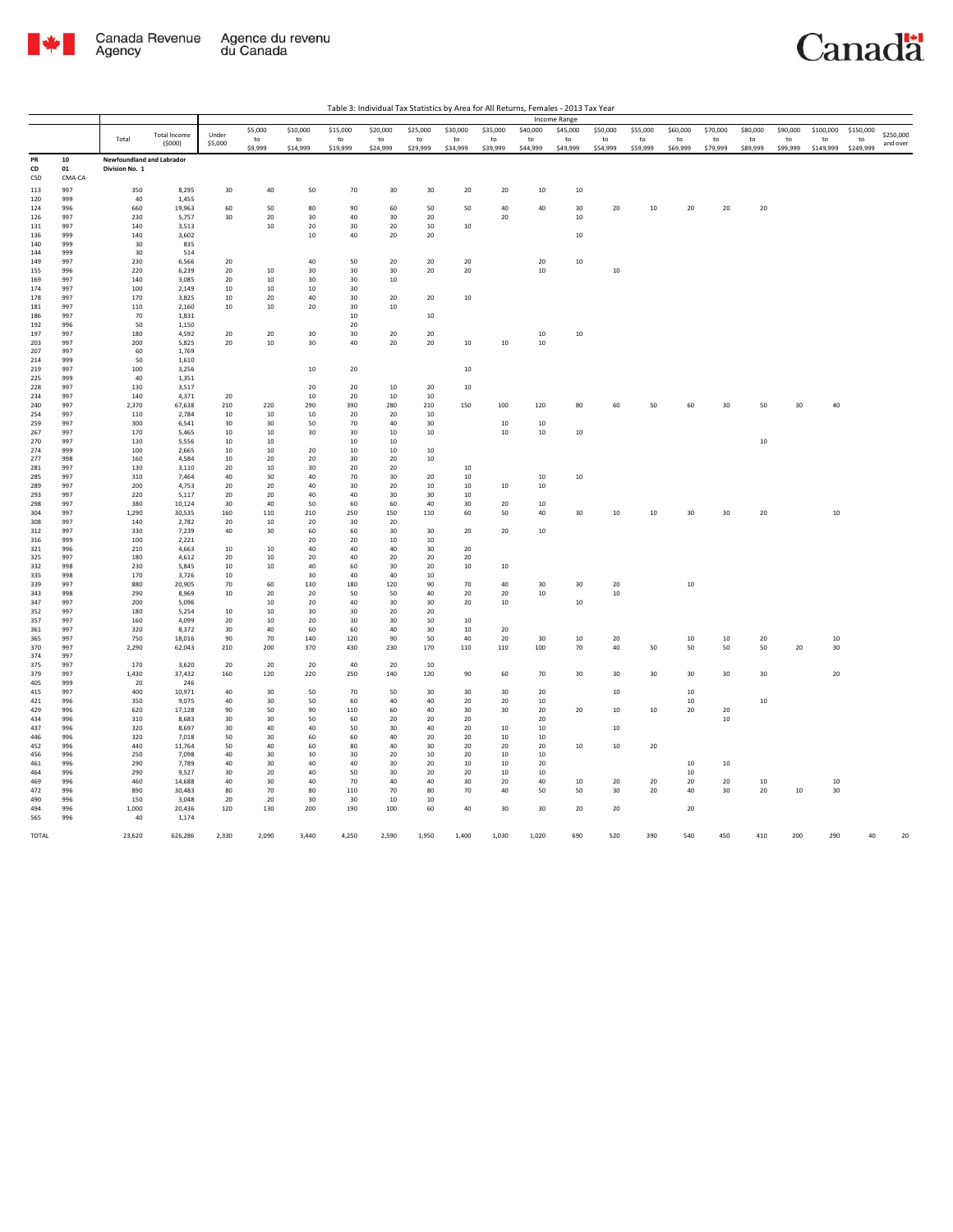

|                |                  |                                             |                     |              |               |                |                |                |                |                 |                |                  | Income Range   |                |                |                |                |                |                |                 |                 |           |
|----------------|------------------|---------------------------------------------|---------------------|--------------|---------------|----------------|----------------|----------------|----------------|-----------------|----------------|------------------|----------------|----------------|----------------|----------------|----------------|----------------|----------------|-----------------|-----------------|-----------|
|                |                  |                                             | <b>Total Income</b> | Under        | \$5,000       | \$10,000       | \$15,000       | \$20,000       | \$25,000       | \$30,000        | \$35,000       | \$40,000         | \$45,000       | \$50,000       | \$55,000       | \$60,000       | \$70,000       | \$80,000       | \$90,000       | \$100,000       | \$150,000       | \$250,000 |
|                |                  | Total                                       | (5000)              | \$5,000      | to<br>\$9,999 | to<br>\$14,999 | to<br>\$19,999 | to<br>\$24,999 | to<br>\$29,999 | to<br>\$34,999  | to<br>\$39,999 | to<br>\$44,999   | to<br>\$49,999 | to<br>\$54,999 | to<br>\$59,999 | to<br>\$69,999 | to<br>\$79,999 | to<br>\$89,999 | to<br>\$99,999 | to<br>\$149,999 | to<br>\$249,999 | and over  |
| PR<br>CD       | ${\bf 10}$<br>01 | Newfoundland and Labrador<br>Division No. 1 |                     |              |               |                |                |                |                |                 |                |                  |                |                |                |                |                |                |                |                 |                 |           |
| CSD            | CMA-CA<br>997    |                                             |                     | 30           | 40            | 50             | 70             |                |                | 20              | 20             | $10\,$           |                |                |                |                |                |                |                |                 |                 |           |
| 113<br>120     | 999              | 350<br>40                                   | 8,295<br>1,455      |              |               |                |                | 30             | $30\,$         |                 |                |                  | $10\,$         |                |                |                |                |                |                |                 |                 |           |
| 124            | 996              | 660                                         | 19,963              | 60           | 50            | $\bf 80$       | 90             | 60             | 50             | 50              | 40             | $40\,$           | 30             | 20             | $10\,$         | $20\,$         | $20\,$         | $20\,$         |                |                 |                 |           |
| 126            | 997              | 230                                         | 5,757               | 30           | 20            | 30             | $40\,$         | 30             | 20             |                 | 20             |                  | $10\,$         |                |                |                |                |                |                |                 |                 |           |
| 131            | 997              | 140                                         | 3,513               |              | 10            | 20             | 30             | 20             | 10             | 10              |                |                  |                |                |                |                |                |                |                |                 |                 |           |
| 136<br>140     | 999<br>999       | 140<br>30                                   | 3,602<br>835        |              |               | 10             | 40             | 20             | 20             |                 |                |                  | 10             |                |                |                |                |                |                |                 |                 |           |
| 144            | 999              | 30                                          | 514                 |              |               |                |                |                |                |                 |                |                  |                |                |                |                |                |                |                |                 |                 |           |
| 149            | 997              | 230                                         | 6,566               | 20           |               | $40\,$         | 50             | 20             | $20\,$         | 20              |                | $20\,$           | 10             |                |                |                |                |                |                |                 |                 |           |
| 155            | 996              | 220                                         | 6,239               | 20           | 10            | 30             | 30             | 30             | 20             | 20              |                | $10\,$           |                | 10             |                |                |                |                |                |                 |                 |           |
| 169<br>174     | 997<br>997       | 140<br>100                                  | 3,085<br>2,149      | 20<br>10     | 10<br>10      | 30<br>10       | 30<br>30       | 10             |                |                 |                |                  |                |                |                |                |                |                |                |                 |                 |           |
| 178            | 997              | 170                                         | 3,825               | 10           | 20            | 40             | 30             | 20             | 20             | $10\,$          |                |                  |                |                |                |                |                |                |                |                 |                 |           |
| 181            | 997              | 110                                         | 2,160               | 10           | 10            | 20             | 30             | 10             |                |                 |                |                  |                |                |                |                |                |                |                |                 |                 |           |
| 186            | 997              | 70                                          | 1,831               |              |               |                | 10             |                | $10\,$         |                 |                |                  |                |                |                |                |                |                |                |                 |                 |           |
| 192            | 996              | 50                                          | 1,150               |              |               |                | $20\,$         |                |                |                 |                |                  |                |                |                |                |                |                |                |                 |                 |           |
| 197<br>203     | 997<br>997       | 180<br>200                                  | 4,592<br>5,825      | 20<br>20     | 20<br>$10\,$  | 30<br>30       | 30<br>40       | 20<br>20       | 20<br>20       | $10\,$          | 10             | $10\,$<br>$10\,$ | 10             |                |                |                |                |                |                |                 |                 |           |
| 207            | 997              | 60                                          | 1,769               |              |               |                |                |                |                |                 |                |                  |                |                |                |                |                |                |                |                 |                 |           |
| 214            | 999              | 50                                          | 1,610               |              |               |                |                |                |                |                 |                |                  |                |                |                |                |                |                |                |                 |                 |           |
| 219            | 997              | 100                                         | 3,256               |              |               | $10\,$         | $20\,$         |                |                | $10\,$          |                |                  |                |                |                |                |                |                |                |                 |                 |           |
| 225<br>228     | 999<br>997       | 40<br>130                                   | 1,351<br>3,517      |              |               | 20             | 20             | 10             | 20             | 10              |                |                  |                |                |                |                |                |                |                |                 |                 |           |
| 234            | 997              | 140                                         | 4,371               | 20           |               | 10             | 20             | 10             | 10             |                 |                |                  |                |                |                |                |                |                |                |                 |                 |           |
| 240            | 997              | 2,370                                       | 67,638              | 210          | 220           | 290            | 390            | 280            | 210            | 150             | 100            | 120              | 80             | 60             | 50             | 60             | 30             | 50             | $30\,$         | 40              |                 |           |
| 254            | 997              | 110                                         | 2,784               | 10           | 10            | 10             | 20             | 20             | $10\,$         |                 |                |                  |                |                |                |                |                |                |                |                 |                 |           |
| 259<br>267     | 997<br>997       | 300<br>170                                  | 6,541<br>5.465      | 30<br>10     | 30<br>10      | 50<br>30       | 70<br>30       | 40<br>10       | 30<br>$10\,$   |                 | 10<br>10       | 10<br>10         | 10             |                |                |                |                |                |                |                 |                 |           |
| 270            | 997              | 130                                         | 5,556               | $10\,$       | $10\,$        |                | $10\,$         | $10\,$         |                |                 |                |                  |                |                |                |                |                | $10\,$         |                |                 |                 |           |
| 274            | 999              | 100                                         | 2,665               | 10           | 10            | 20             | 10             | 10             | 10             |                 |                |                  |                |                |                |                |                |                |                |                 |                 |           |
| 277            | 998              | 160                                         | 4,584               | 10           | 20            | 20             | 30             | 20             | $10\,$         |                 |                |                  |                |                |                |                |                |                |                |                 |                 |           |
| 281            | 997              | 130                                         | 3,110               | 20           | 10            | 30             | 20             | 20             |                | 10              |                |                  |                |                |                |                |                |                |                |                 |                 |           |
| 285<br>289     | 997<br>997       | 310<br>200                                  | 7,464<br>4,753      | 40<br>20     | 30<br>20      | 40<br>40       | 70<br>30       | 30<br>20       | 20<br>$10\,$   | 10<br>10        | 10             | 10<br>$10\,$     | 10             |                |                |                |                |                |                |                 |                 |           |
| 293            | 997              | 220                                         | 5,117               | 20           | 20            | 40             | 40             | 30             | 30             | 10              |                |                  |                |                |                |                |                |                |                |                 |                 |           |
| 298            | 997              | 380                                         | 10,124              | 30           | 40            | 50             | 60             | 60             | 40             | 30              | 20             | $10\,$           |                |                |                |                |                |                |                |                 |                 |           |
| 304            | 997              | 1,290                                       | 30,535              | 160          | 110           | 210            | 250            | 150            | 110            | 60              | 50             | 40               | 30             | $10\,$         | 10             | 30             | 30             | 20             |                | $10\,$          |                 |           |
| 308<br>$312\,$ | 997<br>997       | 140<br>330                                  | 2,782<br>7,239      | 20<br>40     | 10<br>30      | 20<br>60       | 30<br>60       | 20<br>30       | 30             | $20\,$          | 20             | $10\,$           |                |                |                |                |                |                |                |                 |                 |           |
| 316            | 999              | 100                                         | 2,221               |              |               | 20             | 20             | 10             | 10             |                 |                |                  |                |                |                |                |                |                |                |                 |                 |           |
| 321            | 996              | 210                                         | 4,663               | 10           | 10            | 40             | 40             | 40             | 30             | 20              |                |                  |                |                |                |                |                |                |                |                 |                 |           |
| 325            | 997              | 180                                         | 4,612               | 20           | 10            | 20             | 40             | 20             | 20             | 20              |                |                  |                |                |                |                |                |                |                |                 |                 |           |
| 332            | 998<br>998       | 230<br>170                                  | 5,845               | 10           | 10            | 40<br>30       | 60<br>40       | 30<br>40       | 20<br>10       | 10              | 10             |                  |                |                |                |                |                |                |                |                 |                 |           |
| 335<br>339     | 997              | 880                                         | 3,726<br>20,905     | 10<br>70     | 60            | 130            | 180            | 120            | 90             | 70              | 40             | 30               | 30             | 20             |                | $10\,$         |                |                |                |                 |                 |           |
| 343            | 998              | 290                                         | 8,969               | $10\,$       | 20            | 20             | 50             | 50             | 40             | 20              | 20             | $10\,$           |                | 10             |                |                |                |                |                |                 |                 |           |
| 347            | 997              | 200                                         | 5,096               |              | 10            | 20             | 40             | 30             | 30             | 20              | 10             |                  | 10             |                |                |                |                |                |                |                 |                 |           |
| 352            | 997              | 180                                         | 5,254               | 10           | 10            | 30             | 30             | 20             | 20             |                 |                |                  |                |                |                |                |                |                |                |                 |                 |           |
| 357<br>361     | 997<br>997       | 160<br>320                                  | 4,099<br>8,372      | $20\,$<br>30 | $10\,$<br>40  | 20<br>60       | 30<br>60       | 30<br>40       | $10\,$<br>30   | $10\,$<br>10    | 20             |                  |                |                |                |                |                |                |                |                 |                 |           |
| 365            | 997              | 750                                         | 18,016              | 90           | 70            | 140            | 120            | 90             | 50             | 40              | 20             | 30               | $10\,$         | $20\,$         |                | $10\,$         | $10\,$         | $20\,$         |                | $10\,$          |                 |           |
| 370            | 997              | 2,290                                       | 62,043              | 210          | 200           | 370            | 430            | 230            | 170            | 110             | 110            | 100              | $70\,$         | 40             | 50             | 50             | 50             | 50             | 20             | 30              |                 |           |
| 374            | 997              |                                             |                     |              |               |                |                |                |                |                 |                |                  |                |                |                |                |                |                |                |                 |                 |           |
| 375<br>379     | 997<br>997       | 170<br>1,430                                | 3,620<br>37,432     | 20<br>160    | 20<br>120     | 20<br>220      | 40<br>250      | 20<br>140      | 10<br>120      | 90              | 60             | 70               | 30             | 30             | 30             | 30             | 30             | 30             |                | 20              |                 |           |
| 405            | 999              | 20                                          | 246                 |              |               |                |                |                |                |                 |                |                  |                |                |                |                |                |                |                |                 |                 |           |
| 415            | 997              | 400                                         | 10,971              | 40           | 30            | 50             | 70             | 50             | 30             | 30              | 30             | 20               |                | 10             |                | 10             |                |                |                |                 |                 |           |
| 421            | 996              | 350                                         | 9,075               | 40           | 30            | 50             | 60             | 40             | 40             | 20              | 20             | 10               |                |                |                | 10             |                | $10\,$         |                |                 |                 |           |
| 429            | 996<br>996       | 620                                         | 17,128              | 90           | 50            | 90<br>50       | $110\,$        | 60             | 40             | 30<br>20        | 30             | 20<br>20         | 20             | $10\,$         | $10\,$         | $20\,$         | $20\,$<br>10   |                |                |                 |                 |           |
| 434<br>437     | 996              | 310<br>320                                  | 8.683<br>8,697      | 30<br>30     | 30<br>40      | $40\,$         | 60<br>50       | 20<br>30       | 20<br>$40\,$   | 20              | $10\,$         | $10\,$           |                | $10\,$         |                |                |                |                |                |                 |                 |           |
| 446            | 996              | 320                                         | 7,018               | 50           | 30            | 60             | 60             | 40             | 20             | 20              | 10             | 10               |                |                |                |                |                |                |                |                 |                 |           |
| 452            | 996              | 440                                         | 11,764              | 50           | 40            | 60             | 80             | 40             | 30             | 20              | 20             | 20               | $10\,$         | 10             | 20             |                |                |                |                |                 |                 |           |
| 456            | 996              | 250                                         | 7,098               | 40           | 30            | 30             | 30             | 20             | $10\,$         | 20              | 10             | $10\,$           |                |                |                |                |                |                |                |                 |                 |           |
| 461<br>464     | 996<br>996       | 290<br>290                                  | 7,789<br>9,527      | 40<br>30     | 30<br>20      | 40<br>40       | 40<br>50       | 30<br>30       | 20<br>20       | 10<br>20        | 10<br>10       | 20<br>$10\,$     |                |                |                | 10<br>10       | 10             |                |                |                 |                 |           |
| 469            | 996              | 460                                         | 14,688              | 40           | 30            | 40             | 70             | 40             | 40             | 30 <sub>o</sub> | 20             | 40               | 10             | 20             | 20             | 20             | 20             | 10             |                | 10              |                 |           |
| 472            | 996              | 890                                         | 30,483              | 80           | 70            | 80             | 110            | 70             | 80             | 70              | 40             | 50               | 50             | 30             | 20             | 40             | 30             | 20             | $10\,$         | 30              |                 |           |
| 490            | 996              | 150                                         | 3,048               | 20           | 20            | 30             | 30             | 10             | 10             |                 |                |                  |                |                |                |                |                |                |                |                 |                 |           |
| 494<br>565     | 996<br>996       | 1,000<br>40                                 | 20,436<br>1,174     | 120          | 130           | 200            | 190            | 100            | 60             | 40              | 30             | 30               | 20             | 20             |                | 20             |                |                |                |                 |                 |           |
|                |                  |                                             |                     |              |               |                |                |                |                |                 |                |                  |                |                |                |                |                |                |                |                 |                 |           |
| TOTAL          |                  | 23,620                                      | 626,286             | 2,330        | 2,090         | 3,440          | 4,250          | 2,590          | 1,950          | 1,400           | 1,030          | 1,020            | 690            | 520            | 390            | 540            | 450            | 410            | 200            | 290             | 40              |           |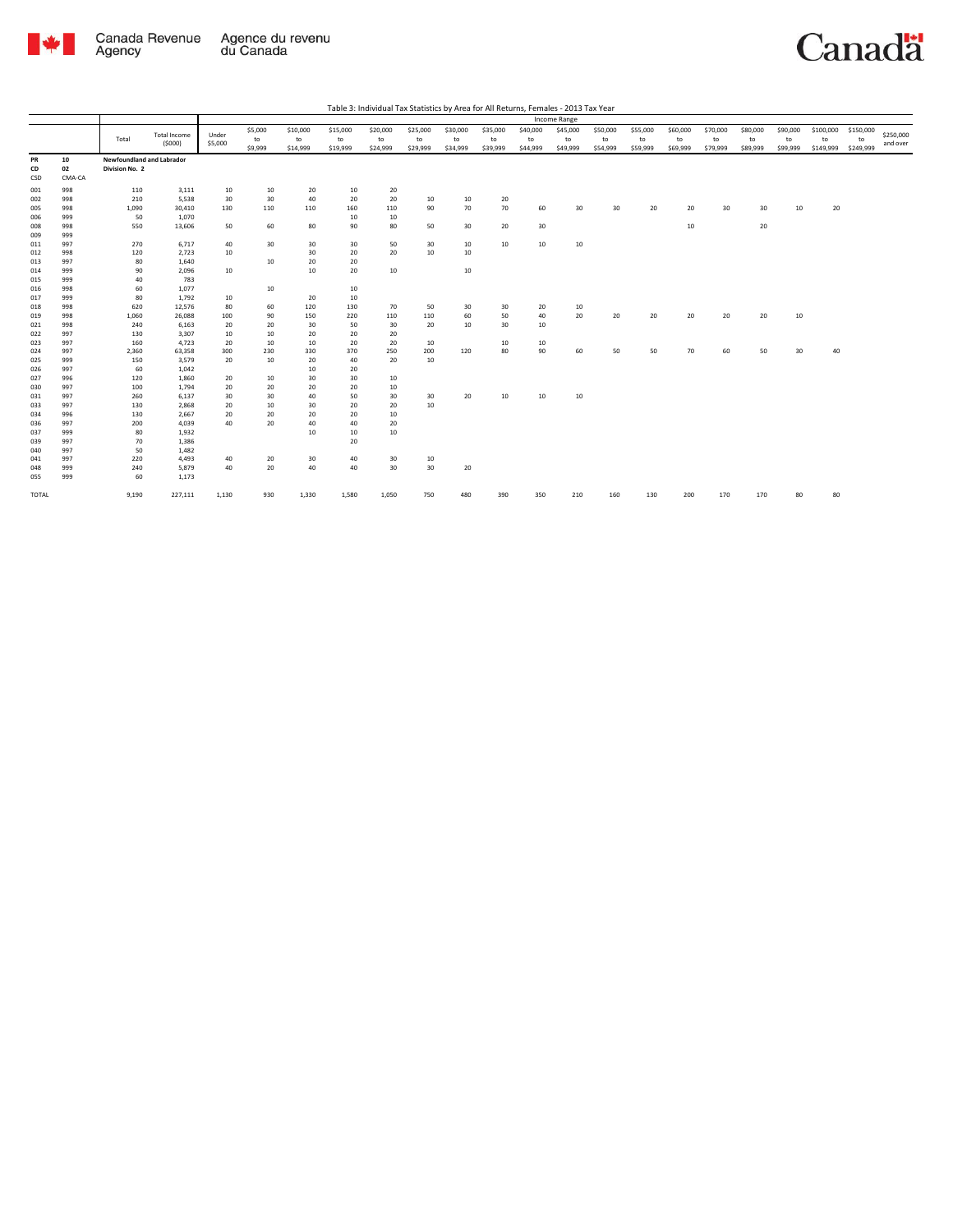

|                 |                    |                                             |                               |                  |                          |                            |                            |                            |                            |                            |                            |                            | Income Range               |                            |                            |                            |                            |                            |                            |                              |                              |                       |
|-----------------|--------------------|---------------------------------------------|-------------------------------|------------------|--------------------------|----------------------------|----------------------------|----------------------------|----------------------------|----------------------------|----------------------------|----------------------------|----------------------------|----------------------------|----------------------------|----------------------------|----------------------------|----------------------------|----------------------------|------------------------------|------------------------------|-----------------------|
|                 |                    | Total                                       | <b>Total Income</b><br>(5000) | Under<br>\$5,000 | \$5,000<br>to<br>\$9,999 | \$10,000<br>to<br>\$14,999 | \$15,000<br>to<br>\$19,999 | \$20,000<br>to<br>\$24,999 | \$25,000<br>to<br>\$29,999 | \$30,000<br>to<br>\$34,999 | \$35,000<br>to<br>\$39,999 | \$40,000<br>to<br>\$44,999 | \$45,000<br>to<br>\$49,999 | \$50,000<br>to<br>\$54,999 | \$55,000<br>to<br>\$59,999 | \$60,000<br>to<br>\$69,999 | \$70,000<br>to<br>\$79,999 | \$80,000<br>to<br>\$89,999 | \$90,000<br>to<br>\$99,999 | \$100,000<br>to<br>\$149,999 | \$150,000<br>to<br>\$249,999 | \$250,000<br>and over |
| PR<br>CD<br>CSD | 10<br>02<br>CMA-CA | Newfoundland and Labrador<br>Division No. 2 |                               |                  |                          |                            |                            |                            |                            |                            |                            |                            |                            |                            |                            |                            |                            |                            |                            |                              |                              |                       |
| 001             | 998                | 110                                         | 3,111                         | 10               | 10                       | 20                         | 10                         | 20                         |                            |                            |                            |                            |                            |                            |                            |                            |                            |                            |                            |                              |                              |                       |
| 002             | 998                | 210                                         | 5,538                         | 30               | 30                       | 40                         | 20                         | 20                         | 10                         | 10                         | 20                         |                            |                            |                            |                            |                            |                            |                            |                            |                              |                              |                       |
| 005             | 998                | 1,090                                       | 30,410                        | 130              | 110                      | 110                        | 160                        | 110                        | 90                         | 70                         | 70                         | 60                         | 30                         | 30                         | 20                         | 20                         | 30                         | 30                         | 10                         | 20                           |                              |                       |
| 006             | 999                | 50                                          | 1,070                         |                  |                          |                            | 10                         | 10                         |                            |                            |                            |                            |                            |                            |                            |                            |                            |                            |                            |                              |                              |                       |
| 008             | 998                | 550                                         | 13,606                        | 50               | 60                       | 80                         | 90                         | 80                         | 50                         | 30                         | 20                         | 30 <sup>2</sup>            |                            |                            |                            | 10                         |                            | 20                         |                            |                              |                              |                       |
| 009             | 999                |                                             |                               |                  |                          |                            |                            |                            |                            |                            |                            |                            |                            |                            |                            |                            |                            |                            |                            |                              |                              |                       |
| 011             | 997                | 270                                         | 6,717                         | 40               | 30                       | 30                         | 30                         | 50                         | 30                         | 10                         | 10                         | 10                         | 10                         |                            |                            |                            |                            |                            |                            |                              |                              |                       |
| 012             | 998                | 120                                         | 2,723                         | 10               |                          | 30                         | 20                         | 20                         | 10                         | 10                         |                            |                            |                            |                            |                            |                            |                            |                            |                            |                              |                              |                       |
| 013             | 997                | 80                                          | 1,640                         |                  | 10                       | 20                         | 20                         |                            |                            |                            |                            |                            |                            |                            |                            |                            |                            |                            |                            |                              |                              |                       |
| 014             | 999                | 90                                          | 2,096                         | 10               |                          | $10\,$                     | 20                         | 10                         |                            | 10                         |                            |                            |                            |                            |                            |                            |                            |                            |                            |                              |                              |                       |
| 015             | 999                | 40                                          | 783                           |                  |                          |                            |                            |                            |                            |                            |                            |                            |                            |                            |                            |                            |                            |                            |                            |                              |                              |                       |
| 016             | 998                | 60                                          | 1,077                         |                  | 10                       |                            | 10                         |                            |                            |                            |                            |                            |                            |                            |                            |                            |                            |                            |                            |                              |                              |                       |
| 017             | 999                | 80                                          | 1,792                         | 10               |                          | 20                         | 10                         |                            |                            |                            |                            |                            |                            |                            |                            |                            |                            |                            |                            |                              |                              |                       |
| 018             | 998                | 620                                         | 12,576                        | 80               | 60                       | 120                        | 130                        | 70                         | 50                         | 30                         | 30                         | 20                         | 10                         |                            |                            |                            |                            |                            |                            |                              |                              |                       |
| 019             | 998                | 1,060                                       | 26,088                        | 100              | 90                       | 150                        | 220                        | 110                        | 110                        | 60                         | 50                         | 40                         | 20                         | 20                         | 20                         | 20                         | 20                         | 20                         | 10                         |                              |                              |                       |
| 021             | 998                | 240                                         | 6,163                         | 20               | 20                       | 30                         | 50                         | 30                         | 20                         | 10                         | 30                         | 10                         |                            |                            |                            |                            |                            |                            |                            |                              |                              |                       |
| 022             | 997                | 130                                         | 3,307                         | 10               | 10                       | 20                         | 20                         | 20                         |                            |                            |                            |                            |                            |                            |                            |                            |                            |                            |                            |                              |                              |                       |
| 023             | 997                | 160                                         | 4,723                         | 20               | 10                       | 10                         | 20                         | 20                         | 10                         |                            | 10                         | 10                         |                            |                            |                            |                            |                            |                            |                            |                              |                              |                       |
| 024             | 997                | 2,360                                       | 63,358                        | 300              | 230                      | 330                        | 370                        | 250                        | 200                        | 120                        | 80                         | 90                         | 60                         | 50                         | 50                         | 70                         | 60                         | 50                         | 30                         | 40                           |                              |                       |
| 025             | 999                | 150                                         | 3,579                         | 20               | 10                       | 20                         | 40                         | 20                         | 10                         |                            |                            |                            |                            |                            |                            |                            |                            |                            |                            |                              |                              |                       |
| 026             | 997                | 60                                          | 1,042                         |                  |                          | 10                         | 20                         |                            |                            |                            |                            |                            |                            |                            |                            |                            |                            |                            |                            |                              |                              |                       |
| 027             | 996                | 120                                         | 1,860                         | 20               | 10                       | 30                         | 30                         | 10                         |                            |                            |                            |                            |                            |                            |                            |                            |                            |                            |                            |                              |                              |                       |
| 030             | 997                | 100                                         | 1,794                         | 20               | 20                       | 20                         | 20                         | 10                         |                            |                            |                            |                            |                            |                            |                            |                            |                            |                            |                            |                              |                              |                       |
| 031             | 997                | 260                                         | 6,137                         | 30               | 30                       | 40                         | 50                         | 30                         | 30                         | 20                         | 10                         | 10                         | 10                         |                            |                            |                            |                            |                            |                            |                              |                              |                       |
| 033             | 997                | 130                                         | 2,868                         | 20               | 10                       | 30                         | 20                         | 20                         | 10                         |                            |                            |                            |                            |                            |                            |                            |                            |                            |                            |                              |                              |                       |
| 034             | 996                | 130                                         | 2,667                         | 20               | 20                       | 20                         | 20                         | 10                         |                            |                            |                            |                            |                            |                            |                            |                            |                            |                            |                            |                              |                              |                       |
| 036             | 997                | 200                                         | 4,039                         | 40               | 20                       | 40                         | 40                         | 20                         |                            |                            |                            |                            |                            |                            |                            |                            |                            |                            |                            |                              |                              |                       |
| 037             | 999                | 80                                          | 1,932                         |                  |                          | 10                         | 10                         | 10                         |                            |                            |                            |                            |                            |                            |                            |                            |                            |                            |                            |                              |                              |                       |
| 039             | 997                | 70                                          | 1,386                         |                  |                          |                            | 20                         |                            |                            |                            |                            |                            |                            |                            |                            |                            |                            |                            |                            |                              |                              |                       |
| 040             | 997                | 50                                          | 1,482                         |                  |                          |                            |                            |                            |                            |                            |                            |                            |                            |                            |                            |                            |                            |                            |                            |                              |                              |                       |
| 041             | 997                | 220                                         | 4,493                         | 40               | 20                       | 30                         | 40                         | 30                         | 10                         |                            |                            |                            |                            |                            |                            |                            |                            |                            |                            |                              |                              |                       |
| 048             | 999                | 240                                         | 5,879                         | 40               | 20                       | 40                         | 40                         | 30                         | 30                         | 20                         |                            |                            |                            |                            |                            |                            |                            |                            |                            |                              |                              |                       |
| 055             | 999                | 60                                          | 1,173                         |                  |                          |                            |                            |                            |                            |                            |                            |                            |                            |                            |                            |                            |                            |                            |                            |                              |                              |                       |
| TOTAL           |                    | 9,190                                       | 227,111                       | 1,130            | 930                      | 1,330                      | 1,580                      | 1,050                      | 750                        | 480                        | 390                        | 350                        | 210                        | 160                        | 130                        | 200                        | 170                        | 170                        | 80                         | 80                           |                              |                       |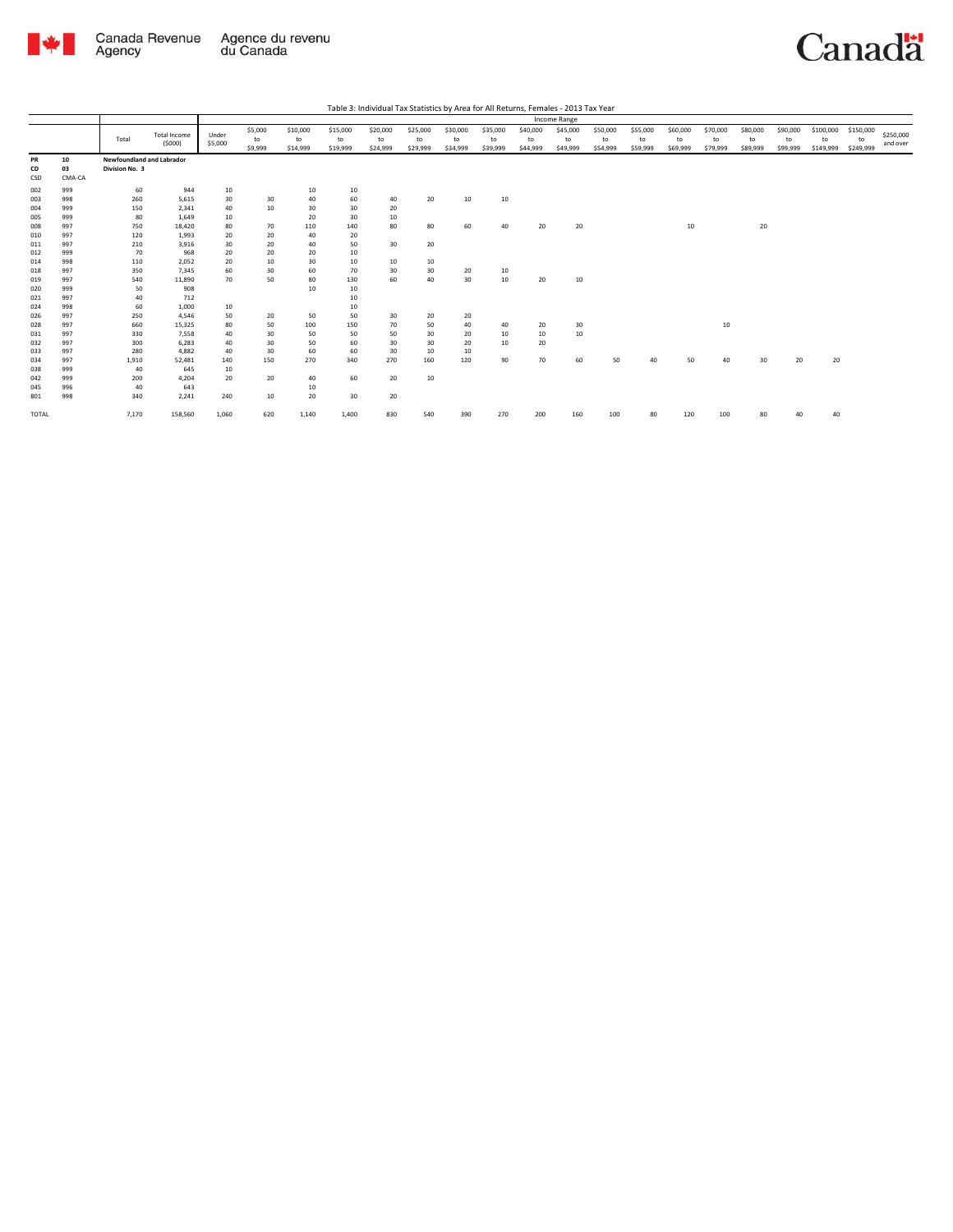

|                   |                    |                                             |                          |                  |                          |                            |                            |                            |                            |                            |                            |                            | Income Range               |                            |                            |                            |                            |                            |                            |                              |                              |                       |
|-------------------|--------------------|---------------------------------------------|--------------------------|------------------|--------------------------|----------------------------|----------------------------|----------------------------|----------------------------|----------------------------|----------------------------|----------------------------|----------------------------|----------------------------|----------------------------|----------------------------|----------------------------|----------------------------|----------------------------|------------------------------|------------------------------|-----------------------|
|                   |                    | Total                                       | Total Income<br>(5000)   | Under<br>\$5,000 | \$5,000<br>to<br>\$9,999 | \$10,000<br>to<br>\$14,999 | \$15,000<br>to<br>\$19,999 | \$20,000<br>to<br>\$24,999 | \$25,000<br>to<br>\$29,999 | \$30,000<br>to<br>\$34,999 | \$35,000<br>to<br>\$39,999 | \$40,000<br>to<br>\$44,999 | \$45,000<br>to<br>\$49,999 | \$50,000<br>to<br>\$54,999 | \$55,000<br>to<br>\$59,999 | \$60,000<br>to<br>\$69,999 | \$70,000<br>to<br>\$79,999 | \$80,000<br>to<br>\$89,999 | \$90,000<br>to<br>\$99,999 | \$100,000<br>to<br>\$149,999 | \$150,000<br>to<br>\$249,999 | \$250,000<br>and over |
| PR<br>CD<br>CSD   | 10<br>03<br>CMA-CA | Newfoundland and Labrador<br>Division No. 3 |                          |                  |                          |                            |                            |                            |                            |                            |                            |                            |                            |                            |                            |                            |                            |                            |                            |                              |                              |                       |
| 002<br>003        | 999<br>998         | 60<br>260                                   | 944<br>5,615             | 10<br>30         | 30                       | 10<br>40                   | 10<br>60                   | 40                         | 20                         | 10                         | 10                         |                            |                            |                            |                            |                            |                            |                            |                            |                              |                              |                       |
| 004<br>005        | 999<br>999<br>997  | 150<br>80<br>750                            | 2,341<br>1.649           | 40<br>10<br>80   | 10                       | 30<br>20                   | 30<br>30                   | 20<br>10<br>80             |                            |                            |                            |                            | 20                         |                            |                            |                            |                            |                            |                            |                              |                              |                       |
| 008<br>010<br>011 | 997<br>997         | 120<br>210                                  | 18,420<br>1,993<br>3,916 | 20<br>30         | 70<br>20<br>20           | 110<br>40<br>40            | 140<br>20<br>50            | 30                         | 80<br>20                   | 60                         | 40                         | 20                         |                            |                            |                            | 10                         |                            | 20                         |                            |                              |                              |                       |
| 012<br>014        | 999<br>998         | 70<br>110                                   | 968<br>2,052             | 20<br>20         | 20<br>10                 | 20<br>30                   | 10<br>$10\,$               | 10                         | 10                         |                            |                            |                            |                            |                            |                            |                            |                            |                            |                            |                              |                              |                       |
| 018<br>019        | 997<br>997         | 350<br>540                                  | 7.345<br>11,890          | 60<br>70         | 30<br>50                 | 60<br>80                   | 70<br>130                  | 30<br>60                   | 30<br>40                   | 20<br>30                   | 10<br>10                   | 20                         | 10                         |                            |                            |                            |                            |                            |                            |                              |                              |                       |
| 020<br>021        | 999<br>997         | 50<br>40                                    | 908<br>712               |                  |                          | 10                         | 10<br>10                   |                            |                            |                            |                            |                            |                            |                            |                            |                            |                            |                            |                            |                              |                              |                       |
| 024<br>026        | 998<br>997         | 60<br>250                                   | 1.000<br>4,546           | 10<br>50         | 20                       | 50                         | 10<br>50                   | 30                         | 20                         | 20                         |                            |                            |                            |                            |                            |                            |                            |                            |                            |                              |                              |                       |
| 028<br>031<br>032 | 997<br>997<br>997  | 660<br>330<br>300                           | 15,325<br>7,558<br>6,283 | 80<br>40<br>40   | 50<br>30<br>30           | 100<br>50<br>50            | 150<br>50<br>60            | 70<br>50<br>30             | 50<br>30<br>30             | 40<br>20<br>20             | 40<br>10<br>10             | 20<br>10<br>20             | 30<br>10                   |                            |                            |                            | 10                         |                            |                            |                              |                              |                       |
| 033<br>034        | 997<br>997         | 280<br>1,910                                | 4,882<br>52,481          | 40<br>140        | 30<br>150                | 60<br>270                  | 60<br>340                  | 30<br>270                  | 10<br>160                  | 10<br>120                  | 90                         | 70                         | 60                         | 50                         | 40                         | 50                         | 40                         | 30                         | 20                         | 20                           |                              |                       |
| 038<br>042        | 999<br>999         | 40<br>200                                   | 645<br>4,204             | 10<br>20         | 20                       | 40                         | 60                         | 20                         | 10                         |                            |                            |                            |                            |                            |                            |                            |                            |                            |                            |                              |                              |                       |
| 045<br>801        | 996<br>998         | 40<br>340                                   | 643<br>2,241             | 240              | 10                       | 10<br>20                   | 30                         | 20                         |                            |                            |                            |                            |                            |                            |                            |                            |                            |                            |                            |                              |                              |                       |
| TOTAL             |                    | 7,170                                       | 158,560                  | 1,060            | 620                      | 1,140                      | 1,400                      | 830                        | 540                        | 390                        | 270                        | 200                        | 160                        | 100                        | 80                         | 120                        | 100                        | 80                         | 4ſ                         | 40                           |                              |                       |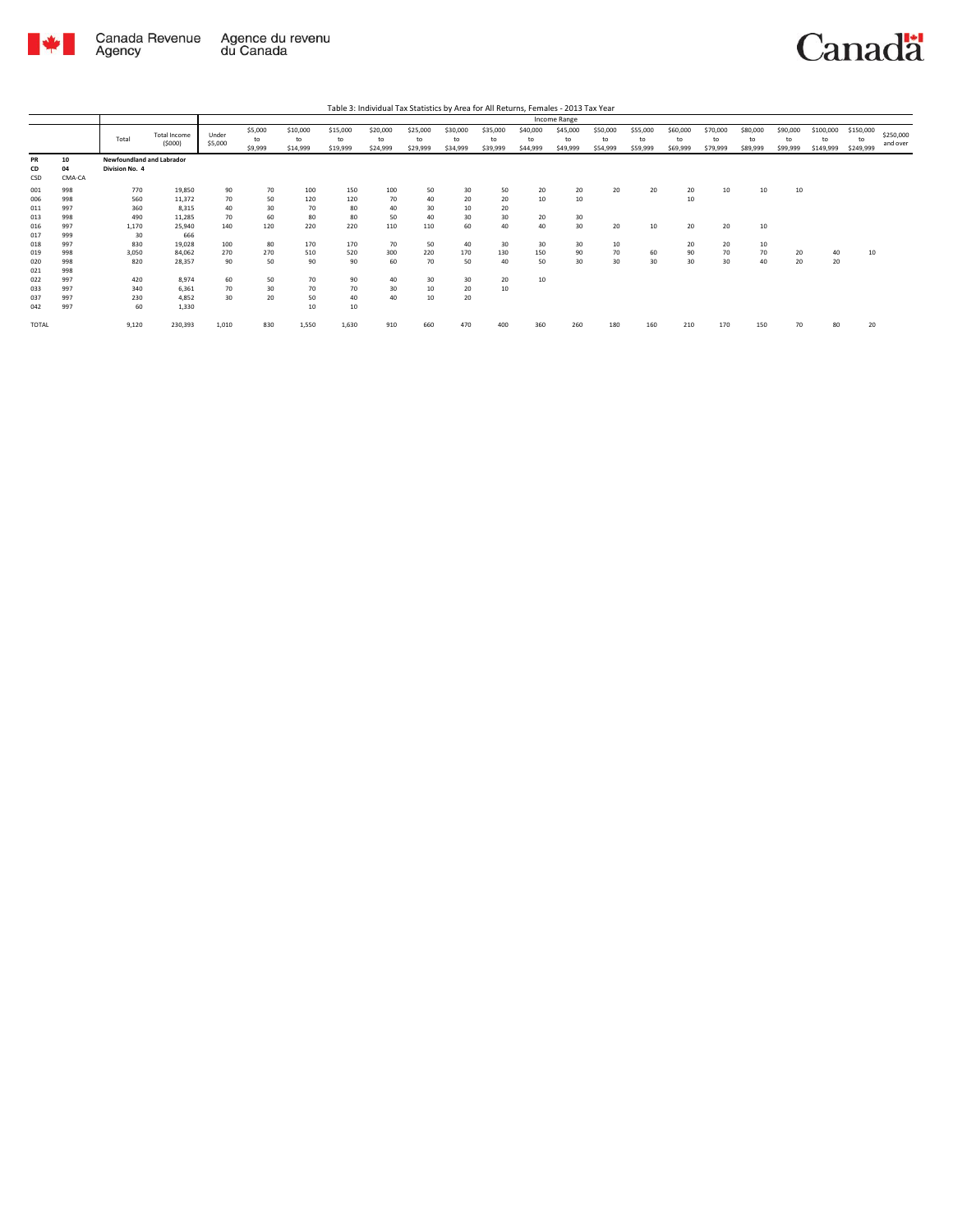

| Table 3: Individual Tax Statistics by Area for All Returns, Females - 2013 Tax Year |
|-------------------------------------------------------------------------------------|
|-------------------------------------------------------------------------------------|

|                          |                          |                                             |                           |                  |                          |                            |                            |                            |                            |                            |                            |                            | Income Range               |                            |                            |                            |                            |                            |                            |                              |                              |                       |
|--------------------------|--------------------------|---------------------------------------------|---------------------------|------------------|--------------------------|----------------------------|----------------------------|----------------------------|----------------------------|----------------------------|----------------------------|----------------------------|----------------------------|----------------------------|----------------------------|----------------------------|----------------------------|----------------------------|----------------------------|------------------------------|------------------------------|-----------------------|
|                          |                          | Total                                       | Total Income<br>(5000)    | Under<br>\$5,000 | \$5,000<br>to<br>\$9,999 | \$10,000<br>to<br>\$14,999 | \$15,000<br>to<br>\$19,999 | \$20,000<br>to<br>\$24,999 | \$25,000<br>to<br>\$29,999 | \$30,000<br>to<br>\$34,999 | \$35,000<br>to<br>\$39,999 | \$40,000<br>to<br>\$44,999 | \$45,000<br>to<br>\$49,999 | \$50,000<br>to<br>\$54,999 | \$55,000<br>to<br>\$59,999 | \$60,000<br>to<br>\$69,999 | \$70,000<br>to<br>\$79,999 | \$80,000<br>to<br>\$89,999 | \$90,000<br>to<br>\$99,999 | \$100,000<br>to<br>\$149,999 | \$150,000<br>to<br>\$249,999 | \$250,000<br>and over |
| PR<br>CD<br>CSD          | 10<br>04<br>CMA-CA       | Newfoundland and Labrador<br>Division No. 4 |                           |                  |                          |                            |                            |                            |                            |                            |                            |                            |                            |                            |                            |                            |                            |                            |                            |                              |                              |                       |
| 001<br>006               | 998<br>998<br>997        | 770<br>560<br>360                           | 19,850<br>11,372<br>8.315 | 90<br>70<br>40   | 70<br>50<br>30           | 100<br>120<br>70           | 150<br>120<br>80           | 100<br>70<br>40            | 50<br>40<br>30             | 30<br>20<br>10             | 50<br>20<br>20             | 20<br>10                   | 20<br>10                   | 20                         | 20                         | 20<br>10                   | 10                         | 10                         | 10                         |                              |                              |                       |
| 011<br>013<br>016        | 998<br>997               | 490<br>1,170                                | 11,285<br>25,940          | 70<br>140        | 60<br>120                | 80<br>220                  | 80<br>220                  | 50<br>110                  | 40<br>110                  | 30<br>60                   | 30<br>40                   | 20<br>40                   | 30<br>30                   | 20                         | 10                         | 20                         | 20                         | 10                         |                            |                              |                              |                       |
| 017<br>018<br>019        | 999<br>997<br>998        | 30<br>830<br>3.050                          | 666<br>19,028<br>84.062   | 100<br>270       | 80<br>270                | 170<br>510                 | 170<br>520                 | 70<br>300                  | 50<br>220                  | 40<br>170                  | 30<br>130                  | 30 <sup>2</sup><br>150     | 30<br>90<br>30             | 10<br>70<br>30             | 60                         | 20<br>90                   | 20<br>70                   | 10<br>70                   | 20                         | 40                           | 10                           |                       |
| 020<br>021<br>022<br>033 | 998<br>998<br>997<br>997 | 820<br>420<br>340                           | 28,357<br>8,974<br>6.361  | 90<br>60<br>70   | 50<br>50<br>30           | 90<br>70<br>70             | 90<br>90<br>70             | 60<br>40<br>30             | 70<br>30<br>10             | 50<br>30<br>20             | 40<br>20<br>10             | 50<br>10                   |                            |                            | 30                         | 30                         | 30                         | 40                         | 20                         | 20                           |                              |                       |
| 037<br>042               | 997<br>997               | 230<br>60                                   | 4,852<br>1.330            | 30               | 20                       | 50<br>10                   | 40<br>10                   | 40                         | 10                         | 20                         |                            |                            |                            |                            |                            |                            |                            |                            |                            |                              |                              |                       |
| <b>TOTAL</b>             |                          | 9.120                                       | 230,393                   | 1,010            | 830                      | 1.550                      | 1.630                      | 910                        | 660                        | 470                        | 400                        | 360                        | 260                        | 180                        | 160                        | 210                        | 170                        | 150                        | 70                         | 80                           | 20                           |                       |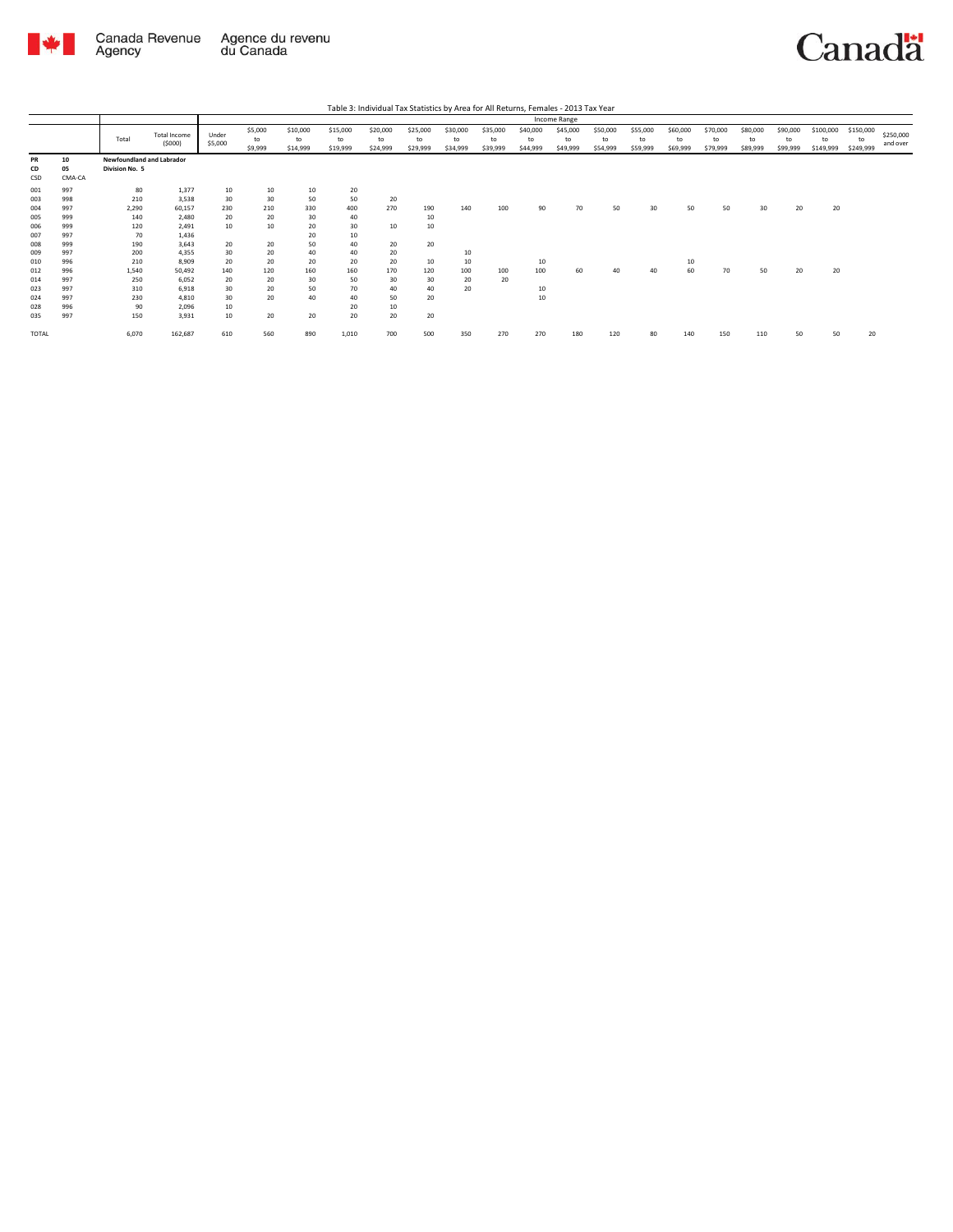

|                   |                    |                                             |                               |                  |                          |                            |                            |                            |                            |                            |                            |                            | Income Range               |                            |                            |                            |                            |                            |                            |                              |                              |                       |
|-------------------|--------------------|---------------------------------------------|-------------------------------|------------------|--------------------------|----------------------------|----------------------------|----------------------------|----------------------------|----------------------------|----------------------------|----------------------------|----------------------------|----------------------------|----------------------------|----------------------------|----------------------------|----------------------------|----------------------------|------------------------------|------------------------------|-----------------------|
|                   |                    | Total                                       | <b>Total Income</b><br>(5000) | Under<br>\$5,000 | \$5,000<br>to<br>\$9,999 | \$10,000<br>to<br>\$14,999 | \$15,000<br>to<br>\$19,999 | \$20,000<br>to<br>\$24,999 | \$25,000<br>to<br>\$29,999 | \$30,000<br>to<br>\$34,999 | \$35,000<br>to<br>\$39,999 | \$40,000<br>to<br>\$44,999 | \$45,000<br>to<br>\$49,999 | \$50,000<br>to<br>\$54,999 | \$55,000<br>to<br>\$59,999 | \$60,000<br>to<br>\$69,999 | \$70,000<br>to<br>\$79,999 | \$80,000<br>to<br>\$89,999 | \$90,000<br>to<br>\$99,999 | \$100,000<br>to<br>\$149,999 | \$150,000<br>to<br>\$249,999 | \$250,000<br>and over |
| PR<br>CD<br>CSD   | 10<br>05<br>CMA-CA | Newfoundland and Labrador<br>Division No. 5 |                               |                  |                          |                            |                            |                            |                            |                            |                            |                            |                            |                            |                            |                            |                            |                            |                            |                              |                              |                       |
| 001<br>003        | 997<br>998         | 80<br>210                                   | 1,377<br>3,538                | 10<br>30         | 10<br>30                 | 10<br>50                   | 20<br>50                   | 20                         |                            |                            |                            |                            |                            |                            |                            |                            |                            |                            |                            |                              |                              |                       |
| 004<br>005        | 997<br>999         | 2.290<br>140                                | 60.157<br>2.480               | 230<br>20        | 210<br>20                | 330<br>30                  | 400<br>40                  | 270                        | 190<br>10                  | 140                        | 100                        | 90                         | 70                         | 50                         | 30                         | 50                         | 50                         | 30                         | 20                         | 20                           |                              |                       |
| 006<br>007        | 999<br>997         | 120<br>70                                   | 2.491<br>1,436                | 10               | 10                       | 20<br>20                   | 30<br>10                   | 10                         | 10                         |                            |                            |                            |                            |                            |                            |                            |                            |                            |                            |                              |                              |                       |
| 008<br>009<br>010 | 999<br>997<br>996  | 190<br>200<br>210                           | 3.643<br>4.355<br>8,909       | 20<br>30<br>20   | 20<br>20<br>20           | 50<br>40<br>20             | 40<br>40<br>20             | 20<br>20<br>20             | 20<br>10                   | 10<br>10                   |                            | 10                         |                            |                            |                            | 10                         |                            |                            |                            |                              |                              |                       |
| 012<br>014        | 996<br>997         | 1,540<br>250                                | 50.492<br>6.052               | 140<br>20        | 120<br>20                | 160<br>30                  | 160<br>50                  | 170<br>30                  | 120<br>30                  | 100<br>20                  | 100<br>20                  | 100                        | 60                         | 40                         | 40                         | 60                         | 70                         | 50                         | 20                         | 20                           |                              |                       |
| 023<br>024        | 997<br>997         | 310<br>230                                  | 6.918<br>4.810                | 30<br>30         | 20<br>20                 | 50<br>40                   | 70<br>40                   | 40<br>50                   | 40<br>20                   | 20                         |                            | 10<br>10                   |                            |                            |                            |                            |                            |                            |                            |                              |                              |                       |
| 028<br>035        | 996<br>997         | 90<br>150                                   | 2,096<br>3.931                | 10<br>10         | 20                       | 20                         | 20<br>20                   | 10<br>20                   | 20                         |                            |                            |                            |                            |                            |                            |                            |                            |                            |                            |                              |                              |                       |
| TOTAL             |                    | 6,070                                       | 162,687                       | 610              | 560                      | 890                        | 1,010                      | 700                        | 500                        | 350                        | 270                        | 270                        | 180                        | 120                        | 80                         | 140                        | 150                        | 110                        | 50                         | 50                           | 20                           |                       |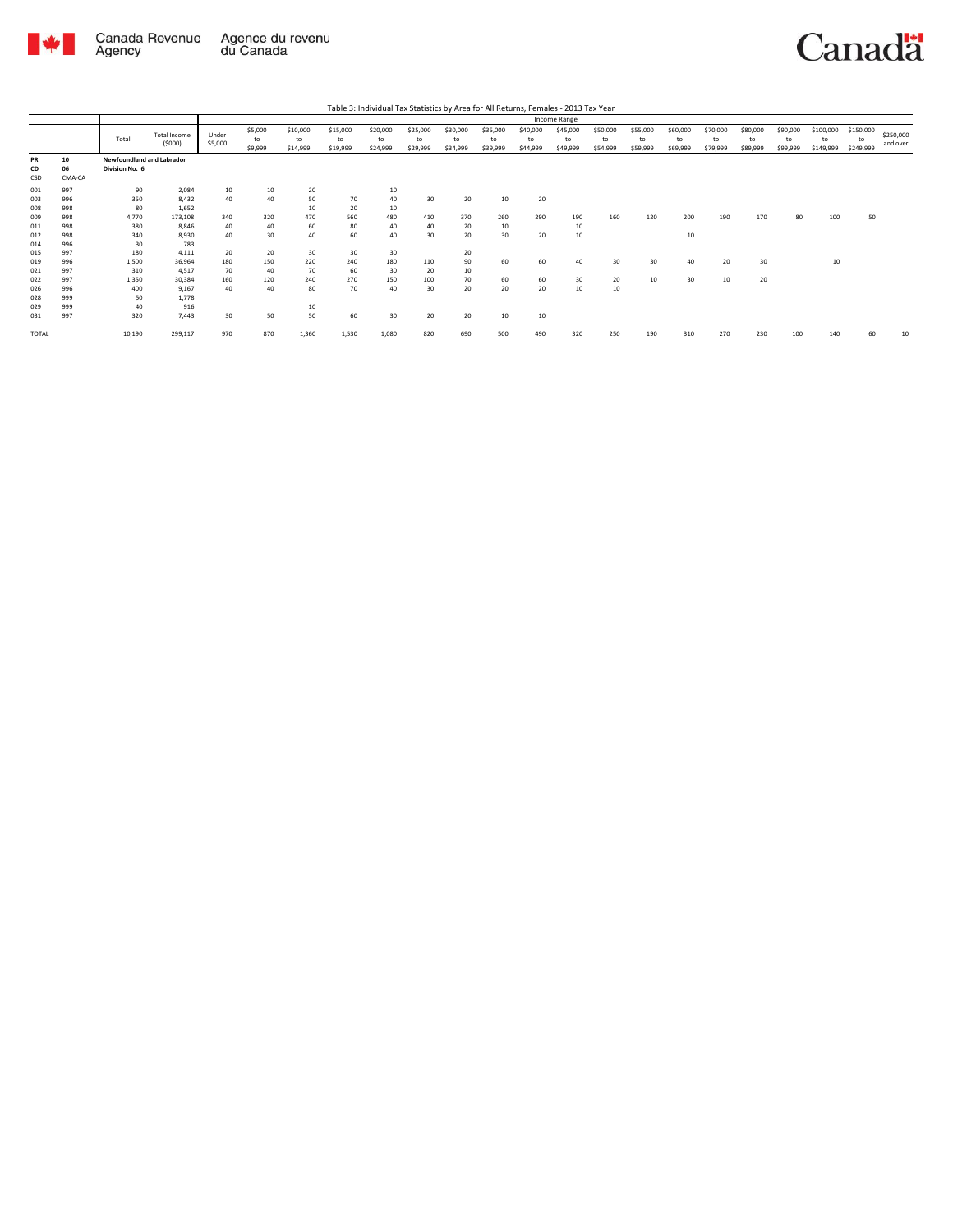

|                                   |                                 |                                             |                                             |                              |                              |                              |                              |                              |                            |                            |                            |                            | Income Range               |                            |                            |                            |                            |                            |                            |                              |                              |                       |
|-----------------------------------|---------------------------------|---------------------------------------------|---------------------------------------------|------------------------------|------------------------------|------------------------------|------------------------------|------------------------------|----------------------------|----------------------------|----------------------------|----------------------------|----------------------------|----------------------------|----------------------------|----------------------------|----------------------------|----------------------------|----------------------------|------------------------------|------------------------------|-----------------------|
|                                   |                                 | Total                                       | <b>Total Income</b><br>(5000)               | Under<br>\$5,000             | \$5,000<br>to<br>\$9,999     | \$10,000<br>to<br>\$14,999   | \$15,000<br>to<br>\$19,999   | \$20,000<br>to<br>\$24,999   | \$25,000<br>to<br>\$29,999 | \$30,000<br>to<br>\$34,999 | \$35,000<br>to<br>\$39,999 | \$40,000<br>to<br>\$44,999 | \$45,000<br>to<br>\$49,999 | \$50,000<br>to<br>\$54,999 | \$55,000<br>to<br>\$59,999 | \$60,000<br>to<br>\$69,999 | \$70,000<br>to<br>\$79,999 | \$80,000<br>to<br>\$89,999 | \$90,000<br>to<br>\$99,999 | \$100,000<br>to<br>\$149,999 | \$150,000<br>to<br>\$249,999 | \$250,000<br>and over |
| PR<br>CD<br>CSD                   | 10<br>06<br>CMA-CA              | Newfoundland and Labrador<br>Division No. 6 |                                             |                              |                              |                              |                              |                              |                            |                            |                            |                            |                            |                            |                            |                            |                            |                            |                            |                              |                              |                       |
| 001<br>003<br>008<br>009          | 997<br>996<br>998<br>998        | 90<br>350<br>80<br>4,770                    | 2.084<br>8.432<br>1,652<br>173,108          | 10<br>40<br>340              | 10<br>40<br>320              | 20<br>50<br>10<br>470        | 70<br>20<br>560              | 10<br>40<br>10<br>480        | 30<br>410                  | 20<br>370                  | 10<br>260                  | 20<br>290                  | 190                        | 160                        | 120                        | 200                        | 190                        | 170                        | 80                         | 100                          | 50                           |                       |
| 011<br>012<br>014                 | 998<br>998<br>996               | 380<br>340<br>30                            | 8.846<br>8.930<br>783                       | 40<br>40                     | 40<br>30                     | 60<br>40                     | 80<br>60                     | 40<br>40                     | 40<br>30                   | 20<br>20                   | 10<br>30                   | 20                         | 10<br>10                   |                            |                            | 10                         |                            |                            |                            |                              |                              |                       |
| 015<br>019<br>021<br>022<br>026   | 997<br>996<br>997<br>997<br>996 | 180<br>1,500<br>310<br>1,350<br>400         | 4.111<br>36,964<br>4,517<br>30,384<br>9,167 | 20<br>180<br>70<br>160<br>40 | 20<br>150<br>40<br>120<br>40 | 30<br>220<br>70<br>240<br>80 | 30<br>240<br>60<br>270<br>70 | 30<br>180<br>30<br>150<br>40 | 110<br>20<br>100<br>30     | 20<br>90<br>10<br>70<br>20 | 60<br>60<br>20             | 60<br>60<br>20             | 40<br>30<br>10             | 30<br>20<br>10             | 30<br>10                   | 40<br>30                   | 20<br>10                   | 30<br>20                   |                            | 10                           |                              |                       |
| 028<br>029<br>031<br><b>TOTAL</b> | 999<br>999<br>997               | 50<br>40<br>320<br>10,190                   | 1,778<br>916<br>7.443<br>299,117            | 30<br>970                    | 50<br>870                    | 10<br>50<br>1,360            | 60<br>1,530                  | 30<br>1,080                  | 20<br>820                  | 20<br>690                  | 10<br>500                  | 10<br>490                  | 320                        | 250                        | 190                        | 310                        | 270                        | 230                        | 100                        | 140                          | 60                           | 10                    |
|                                   |                                 |                                             |                                             |                              |                              |                              |                              |                              |                            |                            |                            |                            |                            |                            |                            |                            |                            |                            |                            |                              |                              |                       |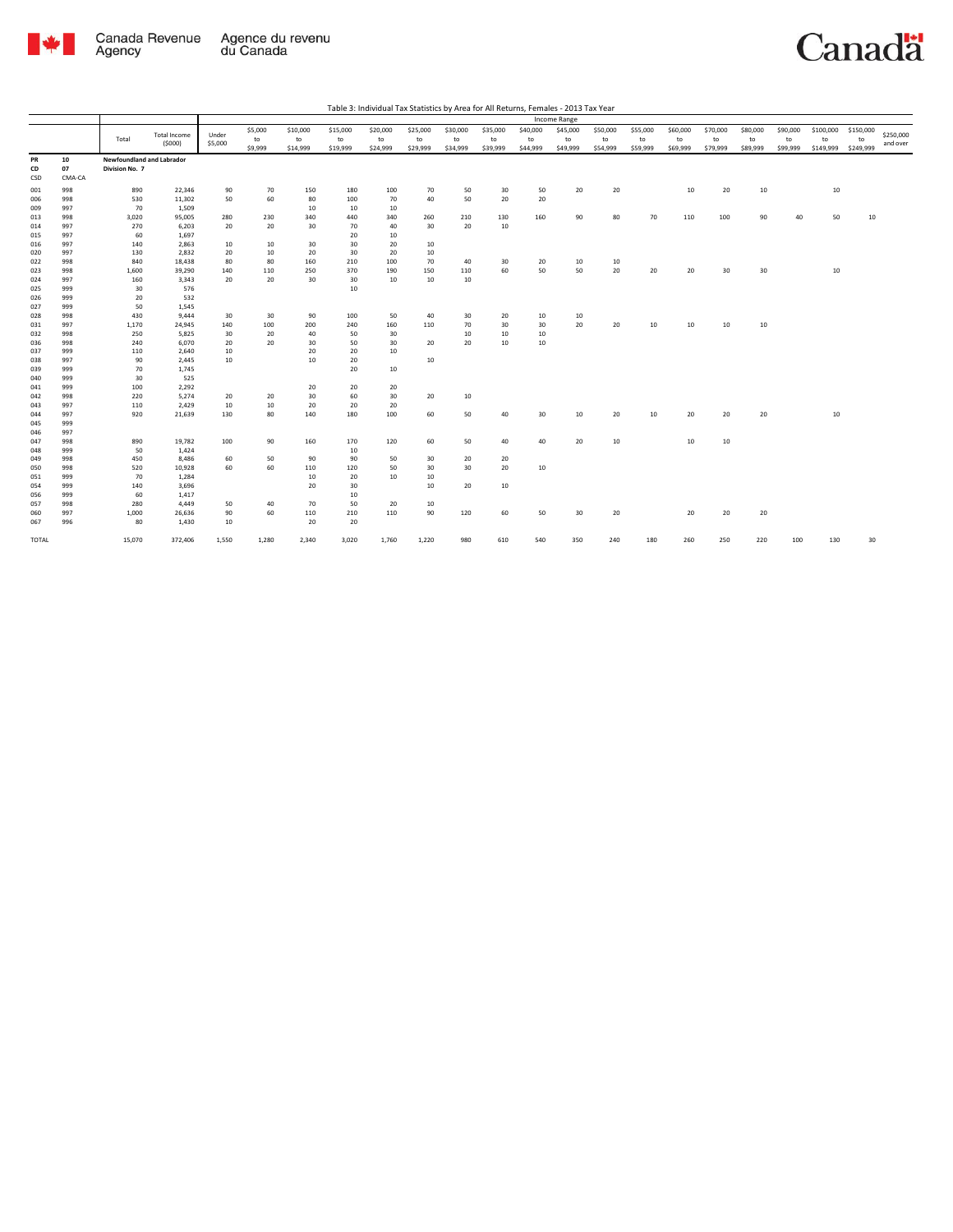

|            |            |                                  |                     |         |               |                |                | Table 3: Individual Tax Statistics by Area for All Returns, Females - 2013 Tax Year |                        |                |                |                |                |                |                |                |                |                |                |                 |                 |           |
|------------|------------|----------------------------------|---------------------|---------|---------------|----------------|----------------|-------------------------------------------------------------------------------------|------------------------|----------------|----------------|----------------|----------------|----------------|----------------|----------------|----------------|----------------|----------------|-----------------|-----------------|-----------|
|            |            |                                  |                     |         |               |                |                |                                                                                     |                        |                |                |                | Income Range   |                |                |                |                |                |                |                 |                 |           |
|            |            |                                  | <b>Total Income</b> | Under   | \$5,000       | \$10,000       | \$15,000       | \$20,000                                                                            | \$25,000               | \$30,000       | \$35,000       | \$40,000       | \$45,000       | \$50,000       | \$55,000       | \$60,000       | \$70,000       | \$80,000       | \$90,000       | \$100,000       | \$150,000       | \$250,000 |
|            |            | Total                            | (5000)              | \$5,000 | to<br>\$9,999 | to<br>\$14,999 | to<br>\$19,999 | to<br>\$24,999                                                                      | ${\sf to}$<br>\$29,999 | to<br>\$34,999 | to<br>\$39,999 | to<br>\$44,999 | to<br>\$49,999 | to<br>\$54,999 | to<br>\$59,999 | to<br>\$69,999 | to<br>\$79,999 | to<br>\$89,999 | to<br>\$99,999 | to<br>\$149,999 | to<br>\$249,999 | and over  |
| PR         | 10         | <b>Newfoundland and Labrador</b> |                     |         |               |                |                |                                                                                     |                        |                |                |                |                |                |                |                |                |                |                |                 |                 |           |
| CD         | 07         | Division No. 7                   |                     |         |               |                |                |                                                                                     |                        |                |                |                |                |                |                |                |                |                |                |                 |                 |           |
| CSD        | CMA-CA     |                                  |                     |         |               |                |                |                                                                                     |                        |                |                |                |                |                |                |                |                |                |                |                 |                 |           |
| 001        | 998        | 890                              | 22,346              | 90      | 70            | 150            | 180            | 100                                                                                 | 70                     | 50             | 30             | 50             | 20             | 20             |                | 10             | 20             | 10             |                | $10\,$          |                 |           |
| 006        | 998        | 530                              | 11,302              | 50      | 60            | 80             | 100            | 70                                                                                  | 40                     | 50             | 20             | 20             |                |                |                |                |                |                |                |                 |                 |           |
| 009        | 997        | 70                               | 1,509               |         |               | 10             | 10             | 10                                                                                  |                        |                |                |                |                |                |                |                |                |                |                |                 |                 |           |
| 013        | 998        | 3,020                            | 95,005              | 280     | 230           | 340            | 440            | 340                                                                                 | 260                    | 210            | 130            | 160            | 90             | 80             | 70             | 110            | 100            | 90             | 40             | 50              | 10              |           |
| 014        | 997        | 270                              | 6,203               | 20      | 20            | 30             | 70             | 40                                                                                  | 30                     | 20             | 10             |                |                |                |                |                |                |                |                |                 |                 |           |
| 015        | 997        | 60                               | 1,697               |         |               |                | 20             | 10                                                                                  |                        |                |                |                |                |                |                |                |                |                |                |                 |                 |           |
| 016        | 997        | 140                              | 2,863               | 10      | 10            | 30             | 30             | 20                                                                                  | 10                     |                |                |                |                |                |                |                |                |                |                |                 |                 |           |
| 020        | 997        | 130                              | 2,832               | 20      | 10            | 20             | 30             | 20                                                                                  | 10                     |                |                |                |                |                |                |                |                |                |                |                 |                 |           |
| 022        | 998        | 840                              | 18,438              | 80      | 80            | 160            | 210            | 100                                                                                 | 70                     | 40             | 30             | 20             | 10             | 10             |                |                |                |                |                |                 |                 |           |
| 023        | 998        | 1,600                            | 39,290              | 140     | 110           | 250            | 370            | 190                                                                                 | 150                    | 110            | 60             | 50             | 50             | 20             | 20             | 20             | 30             | 30             |                | 10              |                 |           |
| 024        | 997        | 160                              | 3,343               | 20      | 20            | 30             | 30             | 10                                                                                  | 10                     | 10             |                |                |                |                |                |                |                |                |                |                 |                 |           |
| 025        | 999        | 30                               | 576                 |         |               |                | $10\,$         |                                                                                     |                        |                |                |                |                |                |                |                |                |                |                |                 |                 |           |
| 026        | 999<br>999 | 20<br>50                         | 532<br>1,545        |         |               |                |                |                                                                                     |                        |                |                |                |                |                |                |                |                |                |                |                 |                 |           |
| 027<br>028 | 998        | 430                              | 9,444               | 30      | 30            | 90             | 100            | 50                                                                                  | 40                     | 30             | 20             | 10             | 10             |                |                |                |                |                |                |                 |                 |           |
| 031        | 997        | 1,170                            | 24,945              | 140     | 100           | 200            | 240            | 160                                                                                 | 110                    | 70             | 30             | 30             | 20             | 20             | 10             | 10             | 10             | 10             |                |                 |                 |           |
| 032        | 998        | 250                              | 5,825               | 30      | 20            | 40             | 50             | 30                                                                                  |                        | 10             | 10             | 10             |                |                |                |                |                |                |                |                 |                 |           |
| 036        | 998        | 240                              | 6,070               | 20      | 20            | 30             | 50             | 30                                                                                  | 20                     | 20             | 10             | 10             |                |                |                |                |                |                |                |                 |                 |           |
| 037        | 999        | 110                              | 2,640               | 10      |               | 20             | 20             | 10                                                                                  |                        |                |                |                |                |                |                |                |                |                |                |                 |                 |           |
| 038        | 997        | 90                               | 2,445               | 10      |               | 10             | 20             |                                                                                     | 10                     |                |                |                |                |                |                |                |                |                |                |                 |                 |           |
| 039        | 999        | 70                               | 1,745               |         |               |                | 20             | 10                                                                                  |                        |                |                |                |                |                |                |                |                |                |                |                 |                 |           |
| 040        | 999        | 30                               | 525                 |         |               |                |                |                                                                                     |                        |                |                |                |                |                |                |                |                |                |                |                 |                 |           |
| 041        | 999        | 100                              | 2,292               |         |               | 20             | 20             | 20                                                                                  |                        |                |                |                |                |                |                |                |                |                |                |                 |                 |           |
| 042        | 998        | 220                              | 5,274               | 20      | 20            | 30             | 60             | 30                                                                                  | 20                     | $10\,$         |                |                |                |                |                |                |                |                |                |                 |                 |           |
| 043        | 997        | 110                              | 2,429               | 10      | 10            | 20             | 20             | 20                                                                                  |                        |                |                |                |                |                |                |                |                |                |                |                 |                 |           |
| 044        | 997        | 920                              | 21,639              | 130     | 80            | 140            | 180            | 100                                                                                 | 60                     | 50             | 40             | 30             | 10             | 20             | 10             | 20             | 20             | 20             |                | 10              |                 |           |
| 045        | 999        |                                  |                     |         |               |                |                |                                                                                     |                        |                |                |                |                |                |                |                |                |                |                |                 |                 |           |
| 046        | 997        |                                  |                     |         |               |                |                |                                                                                     |                        |                |                |                |                |                |                |                |                |                |                |                 |                 |           |
| 047        | 998        | 890                              | 19,782              | 100     | 90            | 160            | 170            | 120                                                                                 | 60                     | 50             | 40             | 40             | 20             | 10             |                | 10             | 10             |                |                |                 |                 |           |
| 048        | 999        | 50                               | 1,424               |         |               |                | 10             |                                                                                     |                        |                |                |                |                |                |                |                |                |                |                |                 |                 |           |
| 049        | 998        | 450                              | 8,486               | 60      | 50            | 90             | 90             | 50                                                                                  | 30                     | 20             | 20             |                |                |                |                |                |                |                |                |                 |                 |           |
| 050        | 998        | 520                              | 10,928              | 60      | 60            | 110            | 120            | 50                                                                                  | 30                     | 30             | 20             | 10             |                |                |                |                |                |                |                |                 |                 |           |
| 051        | 999        | 70                               | 1,284               |         |               | 10             | 20             | 10                                                                                  | 10                     |                |                |                |                |                |                |                |                |                |                |                 |                 |           |
| 054        | 999        | 140                              | 3,696               |         |               | 20             | 30             |                                                                                     | 10                     | 20             | 10             |                |                |                |                |                |                |                |                |                 |                 |           |
| 056        | 999        | 60                               | 1,417               |         |               |                | 10             |                                                                                     |                        |                |                |                |                |                |                |                |                |                |                |                 |                 |           |
| 057        | 998        | 280                              | 4,449               | 50      | 40<br>60      | 70             | 50             | 20<br>110                                                                           | 10<br>90               | 120            |                | 50             | 30             | 20             |                | 20             | 20             |                |                |                 |                 |           |
| 060        | 997        | 1,000                            | 26,636              | 90      |               | 110            | 210            |                                                                                     |                        |                | 60             |                |                |                |                |                |                | 20             |                |                 |                 |           |
| 067        | 996        | 80                               | 1,430               | 10      |               | 20             | 20             |                                                                                     |                        |                |                |                |                |                |                |                |                |                |                |                 |                 |           |
| TOTAL      |            | 15,070                           | 372,406             | 1,550   | 1,280         | 2,340          | 3,020          | 1,760                                                                               | 1,220                  | 980            | 610            | 540            | 350            | 240            | 180            | 260            | 250            | 220            | 100            | 130             | 30              |           |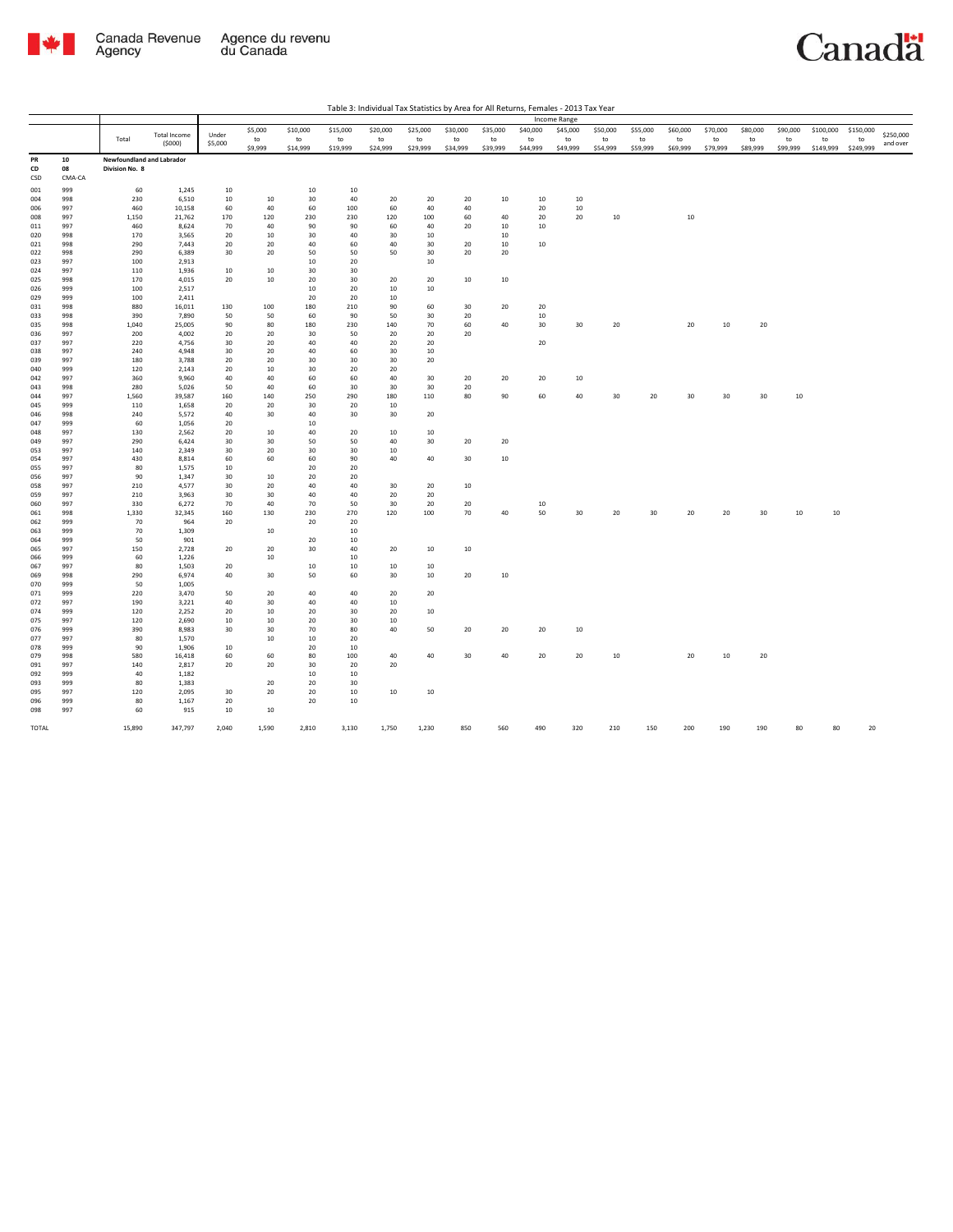

|                 |                    |                                                    |                  |           |               |                |                |                |                |                |                |                | Income Range   |                |                |                |                |                |                |                 |                 |           |
|-----------------|--------------------|----------------------------------------------------|------------------|-----------|---------------|----------------|----------------|----------------|----------------|----------------|----------------|----------------|----------------|----------------|----------------|----------------|----------------|----------------|----------------|-----------------|-----------------|-----------|
|                 |                    |                                                    | Total Income     | Under     | \$5,000       | \$10,000       | \$15,000       | \$20,000       | \$25,000       | \$30,000       | \$35,000       | \$40,000       | \$45,000       | \$50,000       | \$55,000       | \$60,000       | \$70,000       | \$80,000       | \$90,000       | \$100,000       | \$150,000       | \$250,000 |
|                 |                    | Total                                              | (5000)           | \$5,000   | to<br>\$9,999 | to<br>\$14,999 | to<br>\$19,999 | to<br>\$24,999 | to<br>\$29,999 | to<br>\$34,999 | to<br>\$39,999 | to<br>\$44,999 | to<br>\$49,999 | to<br>\$54,999 | to<br>\$59,999 | to<br>\$69,999 | to<br>\$79,999 | to<br>\$89,999 | to<br>\$99,999 | to<br>\$149,999 | to<br>\$249,999 | and over  |
| PR<br>CD<br>CSD | 10<br>08<br>CMA-CA | <b>Newfoundland and Labrador</b><br>Division No. 8 |                  |           |               |                |                |                |                |                |                |                |                |                |                |                |                |                |                |                 |                 |           |
| 001             | 999                | 60                                                 | 1,245            | 10        |               | 10             | 10             |                |                |                |                |                |                |                |                |                |                |                |                |                 |                 |           |
| 004             | 998                | 230                                                | 6,510            | 10        | 10            | 30             | 40             | 20             | 20             | 20             | 10             | 10             | 10             |                |                |                |                |                |                |                 |                 |           |
| 006<br>008      | 997<br>997         | 460<br>1,150                                       | 10,158<br>21,762 | 60<br>170 | 40<br>120     | 60<br>230      | 100<br>230     | 60<br>120      | 40<br>100      | 40<br>60       | 40             | 20<br>20       | 10<br>20       | 10             |                | 10             |                |                |                |                 |                 |           |
| 011             | 997                | 460                                                | 8,624            | 70        | 40            | 90             | 90             | 60             | 40             | 20             | 10             | 10             |                |                |                |                |                |                |                |                 |                 |           |
| 020             | 998                | 170                                                | 3,565            | 20        | 10            | 30             | 40             | 30             | 10             |                | 10             |                |                |                |                |                |                |                |                |                 |                 |           |
| 021             | 998                | 290                                                | 7,443            | 20        | 20            | 40             | 60             | 40             | 30             | 20             | 10             | 10             |                |                |                |                |                |                |                |                 |                 |           |
| 022             | 998                | 290                                                | 6,389            | 30        | 20            | 50             | 50             | 50             | 30             | 20             | 20             |                |                |                |                |                |                |                |                |                 |                 |           |
| 023             | 997<br>997         | 100                                                | 2,913<br>1,936   |           | 10            | $10\,$         | 20<br>30       |                | 10             |                |                |                |                |                |                |                |                |                |                |                 |                 |           |
| 024<br>025      | 998                | 110<br>170                                         | 4,015            | 10<br>20  | 10            | 30<br>20       | 30             | 20             | 20             | 10             | $10\,$         |                |                |                |                |                |                |                |                |                 |                 |           |
| 026             | 999                | 100                                                | 2,517            |           |               | 10             | 20             | 10             | 10             |                |                |                |                |                |                |                |                |                |                |                 |                 |           |
| 029             | 999                | 100                                                | 2,411            |           |               | 20             | 20             | 10             |                |                |                |                |                |                |                |                |                |                |                |                 |                 |           |
| 031             | 998                | 880                                                | 16,011           | 130       | 100           | 180            | 210            | 90             | 60             | 30             | 20             | 20             |                |                |                |                |                |                |                |                 |                 |           |
| 033             | 998<br>998         | 390<br>1,040                                       | 7,890<br>25,005  | 50<br>90  | 50<br>80      | 60<br>180      | 90<br>230      | 50<br>140      | 30<br>70       | 20<br>60       | 40             | 10<br>30       | 30             | 20             |                | 20             | $10\,$         | 20             |                |                 |                 |           |
| 035<br>036      | 997                | 200                                                | 4,002            | 20        | 20            | 30             | 50             | 20             | 20             | 20             |                |                |                |                |                |                |                |                |                |                 |                 |           |
| 037             | 997                | 220                                                | 4,756            | 30        | 20            | 40             | 40             | 20             | 20             |                |                | 20             |                |                |                |                |                |                |                |                 |                 |           |
| 038             | 997                | 240                                                | 4,948            | 30        | 20            | 40             | 60             | 30             | 10             |                |                |                |                |                |                |                |                |                |                |                 |                 |           |
| 039<br>040      | 997<br>999         | 180                                                | 3,788            | 20        | 20<br>10      | 30<br>30       | 30<br>20       | 30             | 20             |                |                |                |                |                |                |                |                |                |                |                 |                 |           |
| 042             | 997                | 120<br>360                                         | 2,143<br>9,960   | 20<br>40  | 40            | 60             | 60             | 20<br>40       | 30             | 20             | 20             | 20             | 10             |                |                |                |                |                |                |                 |                 |           |
| 043             | 998                | 280                                                | 5,026            | 50        | 40            | 60             | 30             | 30             | 30             | 20             |                |                |                |                |                |                |                |                |                |                 |                 |           |
| 044             | 997                | 1,560                                              | 39,587           | 160       | 140           | 250            | 290            | 180            | 110            | 80             | 90             | 60             | 40             | 30             | 20             | 30             | 30             | 30             | 10             |                 |                 |           |
| 045             | 999                | 110                                                | 1,658            | 20        | 20            | 30             | 20             | 10             |                |                |                |                |                |                |                |                |                |                |                |                 |                 |           |
| 046             | 998                | 240                                                | 5,572            | 40        | 30            | 40             | 30             | 30             | 20             |                |                |                |                |                |                |                |                |                |                |                 |                 |           |
| 047<br>048      | 999<br>997         | 60<br>130                                          | 1,056<br>2,562   | 20<br>20  | 10            | 10<br>40       | 20             | 10             | 10             |                |                |                |                |                |                |                |                |                |                |                 |                 |           |
| 049             | 997                | 290                                                | 6,424            | 30        | 30            | 50             | 50             | 40             | 30             | 20             | 20             |                |                |                |                |                |                |                |                |                 |                 |           |
| 053             | 997                | 140                                                | 2,349            | 30        | 20            | 30             | 30             | 10             |                |                |                |                |                |                |                |                |                |                |                |                 |                 |           |
| 054             | 997                | 430                                                | 8,814            | 60        | 60            | 60             | 90             | 40             | 40             | 30             | 10             |                |                |                |                |                |                |                |                |                 |                 |           |
| 055             | 997<br>997         | 80<br>90                                           | 1,575<br>1,347   | 10        |               | 20             | 20<br>20       |                |                |                |                |                |                |                |                |                |                |                |                |                 |                 |           |
| 056<br>058      | 997                | 210                                                | 4,577            | 30<br>30  | 10<br>20      | 20<br>40       | 40             | 30             | 20             | 10             |                |                |                |                |                |                |                |                |                |                 |                 |           |
| 059             | 997                | 210                                                | 3,963            | 30        | 30            | 40             | 40             | $20\,$         | 20             |                |                |                |                |                |                |                |                |                |                |                 |                 |           |
| 060             | 997                | 330                                                | 6,272            | 70        | 40            | 70             | 50             | 30             | 20             | 20             |                | 10             |                |                |                |                |                |                |                |                 |                 |           |
| 061             | 998                | 1,330                                              | 32,345           | 160       | 130           | 230            | 270            | 120            | 100            | 70             | 40             | 50             | 30             | 20             | 30             | 20             | 20             | 30             | 10             | 10              |                 |           |
| 062<br>063      | 999<br>999         | 70<br>70                                           | 964<br>1,309     | 20        | 10            | 20             | 20<br>10       |                |                |                |                |                |                |                |                |                |                |                |                |                 |                 |           |
| 064             | 999                | 50                                                 | 901              |           |               | 20             | 10             |                |                |                |                |                |                |                |                |                |                |                |                |                 |                 |           |
| 065             | 997                | 150                                                | 2,728            | 20        | 20            | 30             | 40             | 20             | 10             | 10             |                |                |                |                |                |                |                |                |                |                 |                 |           |
| 066             | 999                | 60                                                 | 1,226            |           | 10            |                | 10             |                |                |                |                |                |                |                |                |                |                |                |                |                 |                 |           |
| 067             | 997                | 80                                                 | 1,503            | 20        |               | $10\,$         | 10             | 10             | 10             |                |                |                |                |                |                |                |                |                |                |                 |                 |           |
| 069<br>070      | 998<br>999         | 290<br>50                                          | 6,974<br>1,005   | 40        | 30            | 50             | 60             | 30             | 10             | 20             | $10\,$         |                |                |                |                |                |                |                |                |                 |                 |           |
| 071             | 999                | 220                                                | 3,470            | 50        | 20            | 40             | 40             | 20             | 20             |                |                |                |                |                |                |                |                |                |                |                 |                 |           |
| 072             | 997                | 190                                                | 3,221            | 40        | 30            | 40             | 40             | 10             |                |                |                |                |                |                |                |                |                |                |                |                 |                 |           |
| 074             | 999                | 120                                                | 2,252            | 20        | 10            | 20             | 30             | 20             | 10             |                |                |                |                |                |                |                |                |                |                |                 |                 |           |
| 075             | 997                | 120                                                | 2,690            | 10        | 10            | 20             | 30             | 10             |                |                |                |                |                |                |                |                |                |                |                |                 |                 |           |
| 076<br>077      | 999<br>997         | 390<br>80                                          | 8,983<br>1,570   | 30        | 30<br>10      | 70<br>$10\,$   | 80<br>20       | 40             | 50             | 20             | 20             | 20             | 10             |                |                |                |                |                |                |                 |                 |           |
| 078             | 999                | 90                                                 | 1,906            | 10        |               | 20             | 10             |                |                |                |                |                |                |                |                |                |                |                |                |                 |                 |           |
| 079             | 998                | 580                                                | 16,418           | 60        | 60            | 80             | 100            | 40             | 40             | 30             | 40             | 20             | 20             | 10             |                | 20             | $10\,$         | 20             |                |                 |                 |           |
| 091             | 997                | 140                                                | 2,817            | 20        | 20            | 30             | 20             | 20             |                |                |                |                |                |                |                |                |                |                |                |                 |                 |           |
| 092<br>093      | 999<br>999         | 40<br>80                                           | 1,182<br>1,383   |           | 20            | 10<br>20       | 10<br>30       |                |                |                |                |                |                |                |                |                |                |                |                |                 |                 |           |
| 095             | 997                | 120                                                | 2,095            | 30        | 20            | 20             | 10             | 10             | 10             |                |                |                |                |                |                |                |                |                |                |                 |                 |           |
| 096             | 999                | 80                                                 | 1,167            | 20        |               | 20             | 10             |                |                |                |                |                |                |                |                |                |                |                |                |                 |                 |           |
| 098             | 997                | 60                                                 | 915              | 10        | 10            |                |                |                |                |                |                |                |                |                |                |                |                |                |                |                 |                 |           |
| TOTAL           |                    | 15,890                                             | 347,797          | 2,040     | 1,590         | 2,810          | 3,130          | 1,750          | 1,230          | 850            | 560            | 490            | 320            | 210            | 150            | 200            | 190            | 190            | 80             | 80              | 20              |           |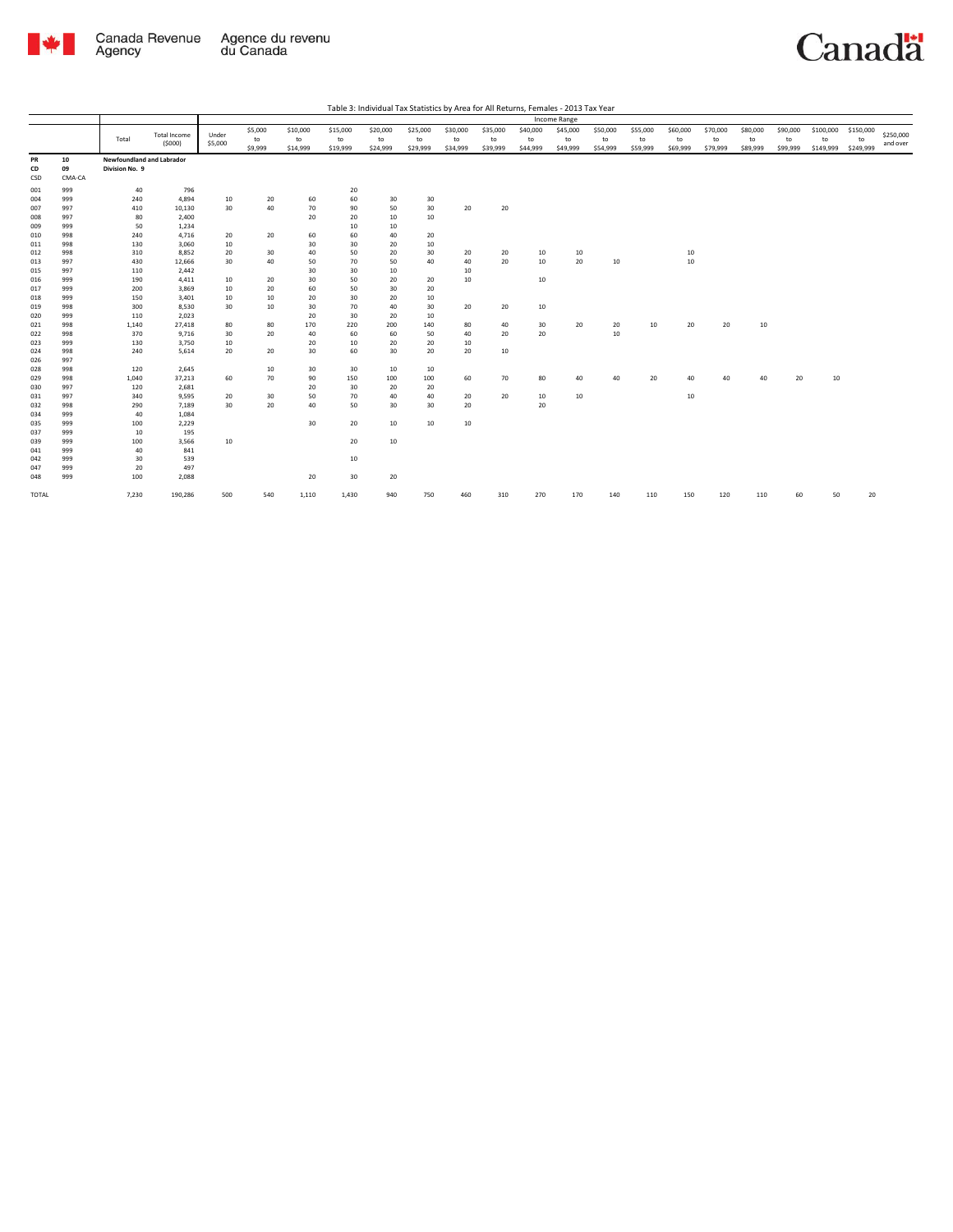

|            |        |                           |                     |         |         |          |          |          |                 |          |          |          | Income Range |          |          |          |          |          |          |           |           |           |
|------------|--------|---------------------------|---------------------|---------|---------|----------|----------|----------|-----------------|----------|----------|----------|--------------|----------|----------|----------|----------|----------|----------|-----------|-----------|-----------|
|            |        |                           |                     |         | \$5,000 | \$10,000 | \$15,000 | \$20,000 | \$25,000        | \$30,000 | \$35,000 | \$40,000 | \$45,000     | \$50,000 | \$55,000 | \$60,000 | \$70,000 | \$80,000 | \$90,000 | \$100,000 | \$150,000 |           |
|            |        | Total                     | <b>Total Income</b> | Under   | to      | to       | to       | to       | to              | to       | to       | to       | to           | to       | to       | to       | to       | to       | to       | to        | to        | \$250,000 |
|            |        |                           | (5000)              | \$5,000 | \$9,999 | \$14,999 | \$19,999 | \$24,999 | \$29,999        | \$34,999 | \$39,999 | \$44,999 | \$49,999     | \$54,999 | \$59,999 | \$69,999 | \$79,999 | \$89,999 | \$99,999 | \$149,999 | \$249,999 | and over  |
| PR         | 10     | Newfoundland and Labrador |                     |         |         |          |          |          |                 |          |          |          |              |          |          |          |          |          |          |           |           |           |
| CD         | 09     | Division No. 9            |                     |         |         |          |          |          |                 |          |          |          |              |          |          |          |          |          |          |           |           |           |
| <b>CSD</b> | CMA-CA |                           |                     |         |         |          |          |          |                 |          |          |          |              |          |          |          |          |          |          |           |           |           |
| 001        | 999    | 40                        | 796                 |         |         |          | 20       |          |                 |          |          |          |              |          |          |          |          |          |          |           |           |           |
| 004        | 999    | 240                       | 4,894               | 10      | 20      | 60       | 60       | 30       | 30              |          |          |          |              |          |          |          |          |          |          |           |           |           |
| 007        | 997    | 410                       | 10,130              | 30      | 40      | 70       | 90       | 50       | 30 <sub>o</sub> | 20       | 20       |          |              |          |          |          |          |          |          |           |           |           |
| 008        | 997    | 80                        | 2,400               |         |         | 20       | 20       | 10       | 10              |          |          |          |              |          |          |          |          |          |          |           |           |           |
| 009        | 999    | 50                        | 1,234               |         |         |          | 10       | 10       |                 |          |          |          |              |          |          |          |          |          |          |           |           |           |
| 010        | 998    | 240                       | 4,716               | 20      | 20      | 60       | 60       | 40       | 20              |          |          |          |              |          |          |          |          |          |          |           |           |           |
| 011        | 998    | 130                       | 3,060               | 10      |         | 30       | 30       | 20       | 10              |          |          |          |              |          |          |          |          |          |          |           |           |           |
| 012        | 998    | 310                       | 8,852               | 20      | 30      | 40       | 50       | 20       | 30              | 20       | 20       | 10       | 10           |          |          | 10       |          |          |          |           |           |           |
| 013        | 997    | 430                       | 12,666              | 30      | 40      | 50       | 70       | 50       | 40              | 40       | 20       | 10       | 20           | 10       |          | 10       |          |          |          |           |           |           |
| 015        | 997    | 110                       | 2,442               |         |         | 30       | 30       | 10       |                 | 10       |          |          |              |          |          |          |          |          |          |           |           |           |
| 016        | 999    | 190                       | 4,411               | 10      | 20      | 30       | 50       | 20       | 20              | 10       |          | 10       |              |          |          |          |          |          |          |           |           |           |
| 017        | 999    | 200                       | 3.869               | 10      | 20      | 60       | 50       | 30       | 20              |          |          |          |              |          |          |          |          |          |          |           |           |           |
| 018        | 999    | 150                       | 3,401               | 10      | 10      | 20       | 30       | 20       | 10              |          |          |          |              |          |          |          |          |          |          |           |           |           |
| 019        | 998    | 300                       | 8,530               | 30      | 10      | 30       | 70       | 40       | 30              | 20       | 20       | 10       |              |          |          |          |          |          |          |           |           |           |
| 020        | 999    | 110                       | 2,023               |         |         | 20       | 30       | 20       | 10              |          |          |          |              |          |          |          |          |          |          |           |           |           |
| 021        | 998    | 1,140                     | 27,418              | 80      | 80      | 170      | 220      | 200      | 140             | 80       | 40       | 30       | 20           | 20       | 10       | 20       | 20       | 10       |          |           |           |           |
| 022        | 998    | 370                       | 9,716               | 30      | 20      | 40       | 60       | 60       | 50              | 40       | 20       | 20       |              | 10       |          |          |          |          |          |           |           |           |
| 023        | 999    | 130                       | 3,750               | 10      |         | 20       | 10       | 20       | 20              | 10       |          |          |              |          |          |          |          |          |          |           |           |           |
| 024        | 998    | 240                       | 5,614               | 20      | 20      | 30       | 60       | 30       | 20              | 20       | 10       |          |              |          |          |          |          |          |          |           |           |           |
| 026        | 997    |                           |                     |         |         |          |          |          |                 |          |          |          |              |          |          |          |          |          |          |           |           |           |
| 028        | 998    | 120                       | 2,645               |         | 10      | 30       | 30       | 10       | 10              |          |          |          |              |          |          |          |          |          |          |           |           |           |
| 029        | 998    | 1,040                     | 37,213              | 60      | 70      | 90       | 150      | 100      | 100             | 60       | 70       | 80       | 40           | 40       | 20       | 40       | 40       | 40       | 20       | 10        |           |           |
| 030        | 997    | 120                       | 2,681               |         |         | 20       | 30       | 20       | 20              |          |          |          |              |          |          |          |          |          |          |           |           |           |
| 031        | 997    | 340                       | 9,595               | 20      | 30      | 50       | 70       | 40       | 40              | 20       | 20       | 10       | 10           |          |          | 10       |          |          |          |           |           |           |
| 032        | 998    | 290                       | 7,189               | 30      | 20      | 40       | 50       | 30       | 30              | 20       |          | 20       |              |          |          |          |          |          |          |           |           |           |
| 034        | 999    | 40                        | 1,084               |         |         |          |          |          |                 |          |          |          |              |          |          |          |          |          |          |           |           |           |
| 035        | 999    | 100                       | 2,229               |         |         | 30       | 20       | 10       | 10              | 10       |          |          |              |          |          |          |          |          |          |           |           |           |
| 037        | 999    | 10                        | 195                 |         |         |          |          |          |                 |          |          |          |              |          |          |          |          |          |          |           |           |           |
| 039        | 999    | 100                       | 3,566               | 10      |         |          | 20       | 10       |                 |          |          |          |              |          |          |          |          |          |          |           |           |           |
| 041        | 999    | 40                        | 841                 |         |         |          |          |          |                 |          |          |          |              |          |          |          |          |          |          |           |           |           |
| 042        | 999    | 30                        | 539                 |         |         |          | 10       |          |                 |          |          |          |              |          |          |          |          |          |          |           |           |           |
| 047        | 999    | 20                        | 497                 |         |         |          |          |          |                 |          |          |          |              |          |          |          |          |          |          |           |           |           |
| 048        | 999    | 100                       | 2,088               |         |         | 20       | 30       | 20       |                 |          |          |          |              |          |          |          |          |          |          |           |           |           |
|            |        |                           |                     |         |         |          |          |          |                 |          |          |          |              |          |          |          |          |          |          |           |           |           |
| TOTAL      |        | 7,230                     | 190,286             | 500     | 540     | 1,110    | 1,430    | 940      | 750             | 460      | 310      | 270      | 170          | 140      | 110      | 150      | 120      | 110      | 60       | 50        | 20        |           |
|            |        |                           |                     |         |         |          |          |          |                 |          |          |          |              |          |          |          |          |          |          |           |           |           |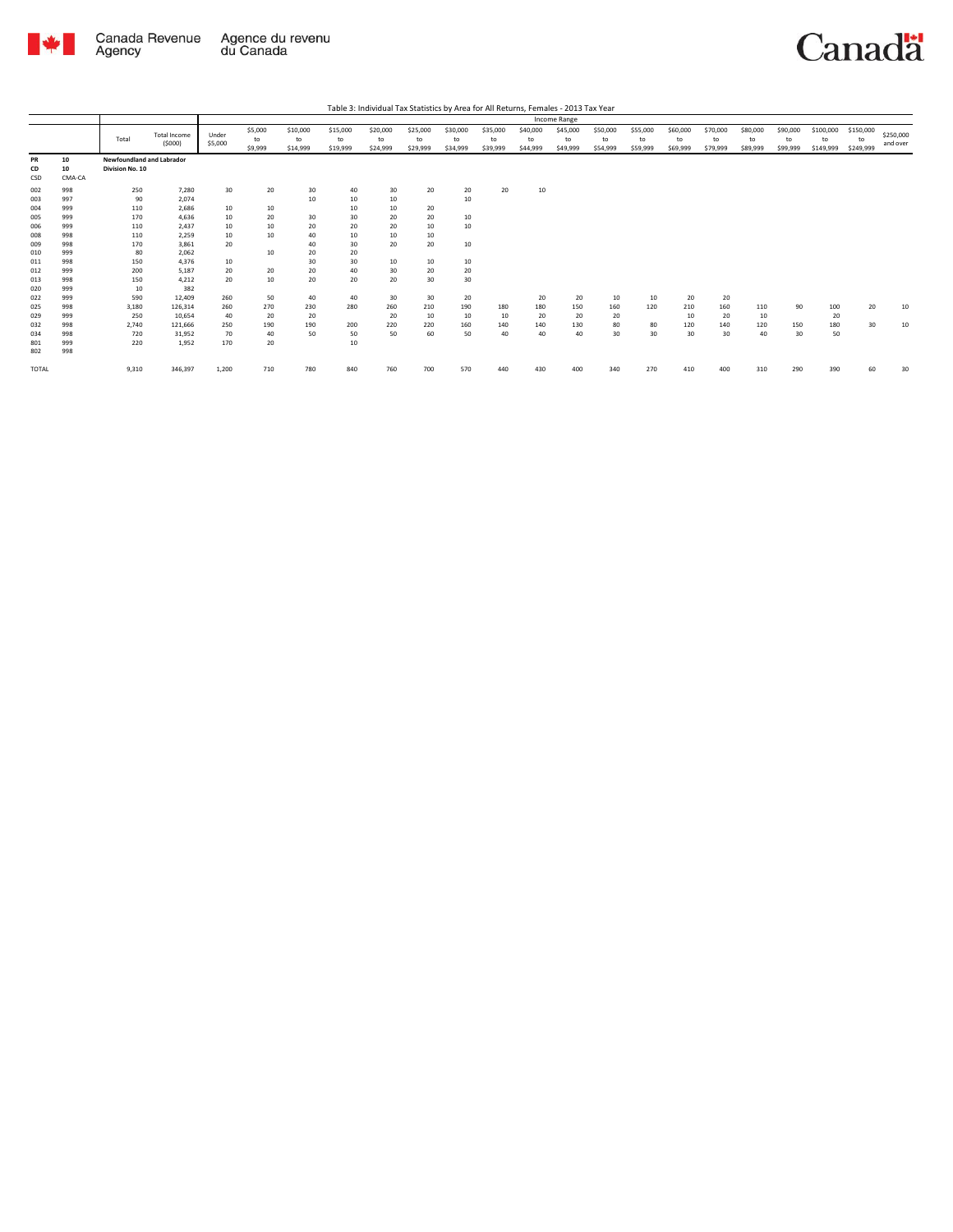

|                 |                    |                                              |                               |                  |                          |                            |                            |                            |                            |                            |                            |                            | Income Range               |                            |                            |                            |                            |                            |                            |                              |                              |                       |
|-----------------|--------------------|----------------------------------------------|-------------------------------|------------------|--------------------------|----------------------------|----------------------------|----------------------------|----------------------------|----------------------------|----------------------------|----------------------------|----------------------------|----------------------------|----------------------------|----------------------------|----------------------------|----------------------------|----------------------------|------------------------------|------------------------------|-----------------------|
|                 |                    | Total                                        | <b>Total Income</b><br>(5000) | Under<br>\$5,000 | \$5,000<br>to<br>\$9,999 | \$10,000<br>to<br>\$14,999 | \$15,000<br>to<br>\$19,999 | \$20,000<br>to<br>\$24,999 | \$25,000<br>to<br>\$29,999 | \$30,000<br>to<br>\$34,999 | \$35,000<br>to<br>\$39,999 | \$40,000<br>to<br>\$44,999 | \$45,000<br>to<br>\$49,999 | \$50,000<br>to<br>\$54,999 | \$55,000<br>to<br>\$59,999 | \$60,000<br>to<br>\$69,999 | \$70,000<br>to<br>\$79,999 | \$80,000<br>to<br>\$89,999 | \$90,000<br>to<br>\$99,999 | \$100,000<br>to<br>\$149,999 | \$150,000<br>to<br>\$249,999 | \$250,000<br>and over |
| PR<br>CD<br>CSD | 10<br>10<br>CMA-CA | Newfoundland and Labrador<br>Division No. 10 |                               |                  |                          |                            |                            |                            |                            |                            |                            |                            |                            |                            |                            |                            |                            |                            |                            |                              |                              |                       |
| 002             | 998                | 250                                          | 7,280                         | 30               | 20                       | 30                         | 40                         | 30                         | 20                         | 20                         | 20                         | 10                         |                            |                            |                            |                            |                            |                            |                            |                              |                              |                       |
| 003             | 997                | 90                                           | 2,074                         |                  |                          | 10                         | 10                         | 10                         |                            | 10                         |                            |                            |                            |                            |                            |                            |                            |                            |                            |                              |                              |                       |
| 004             | 999                | 110                                          | 2,686                         | 10               | 10                       |                            | 10                         | 10                         | 20                         |                            |                            |                            |                            |                            |                            |                            |                            |                            |                            |                              |                              |                       |
| 005             | 999                | 170                                          | 4,636                         | 10               | 20                       | 30                         | 30                         | 20                         | 20                         | 10                         |                            |                            |                            |                            |                            |                            |                            |                            |                            |                              |                              |                       |
| 006             | 999                | 110                                          | 2,437                         | 10               | 10                       | 20                         | 20                         | 20                         | 10                         | 10                         |                            |                            |                            |                            |                            |                            |                            |                            |                            |                              |                              |                       |
| 008             | 998                | 110                                          | 2,259                         | 10               | 10                       | 40                         | 10                         | 10                         | 10                         |                            |                            |                            |                            |                            |                            |                            |                            |                            |                            |                              |                              |                       |
| 009             | 998                | 170                                          | 3,861                         | 20               |                          | 40                         | 30                         | 20                         | 20                         | 10                         |                            |                            |                            |                            |                            |                            |                            |                            |                            |                              |                              |                       |
| 010             | 999                | 80                                           | 2,062                         |                  | 10                       | 20                         | 20                         |                            |                            |                            |                            |                            |                            |                            |                            |                            |                            |                            |                            |                              |                              |                       |
| 011             | 998                | 150                                          | 4,376                         | 10               |                          | 30                         | 30                         | 10                         | 10                         | 10                         |                            |                            |                            |                            |                            |                            |                            |                            |                            |                              |                              |                       |
| 012             | 999                | 200                                          | 5,187                         | 20               | 20                       | 20                         | 40                         | 30                         | 20                         | 20                         |                            |                            |                            |                            |                            |                            |                            |                            |                            |                              |                              |                       |
| 013             | 998                | 150                                          | 4,212                         | 20               | 10                       | 20                         | 20                         | 20                         | 30                         | 30                         |                            |                            |                            |                            |                            |                            |                            |                            |                            |                              |                              |                       |
| 020             | 999                | 10                                           | 382                           |                  |                          |                            |                            |                            |                            |                            |                            |                            |                            |                            |                            |                            |                            |                            |                            |                              |                              |                       |
| 022             | 999                | 590                                          | 12,409                        | 260              | 50                       | 40                         | 40                         | 30                         | 30                         | 20                         |                            | 20                         | 20                         | 10                         | 10                         | 20                         | 20                         |                            |                            |                              |                              |                       |
| 025             | 998                | 3,180                                        | 126,314                       | 260              | 270                      | 230                        | 280                        | 260                        | 210                        | 190                        | 180                        | 180                        | 150                        | 160                        | 120                        | 210                        | 160                        | 110                        | 90                         | 100                          | 20                           | 10                    |
| 029             | 999                | 250                                          | 10.654                        | 40               | 20                       | 20                         |                            | 20                         | 10                         | 10                         | 10                         | 20                         | 20                         | 20                         |                            | 10                         | 20                         | 10                         |                            | 20                           |                              |                       |
| 032             | 998                | 2,740                                        | 121.666                       | 250              | 190                      | 190                        | 200                        | 220                        | 220                        | 160                        | 140                        | 140                        | 130                        | 80                         | 80                         | 120                        | 140                        | 120                        | 150                        | 180                          | 30                           | 10                    |
| 034             | 998                | 720                                          | 31,952                        | 70               | 40                       | 50                         | 50                         | 50                         | 60                         | 50                         | 40                         | 40                         | 40                         | 30                         | 30                         | 30                         | 30                         | 40                         | 30                         | 50                           |                              |                       |
| 801             | 999                | 220                                          | 1.952                         | 170              | 20                       |                            | 10                         |                            |                            |                            |                            |                            |                            |                            |                            |                            |                            |                            |                            |                              |                              |                       |
| 802             | 998                |                                              |                               |                  |                          |                            |                            |                            |                            |                            |                            |                            |                            |                            |                            |                            |                            |                            |                            |                              |                              |                       |
| TOTAL           |                    | 9,310                                        | 346,397                       | 1,200            | 710                      | 780                        | 840                        | 760                        | 700                        | 570                        | 440                        | 430                        | 400                        | 340                        | 270                        | 410                        | 400                        | 310                        | 290                        | 390                          | 60                           | 30                    |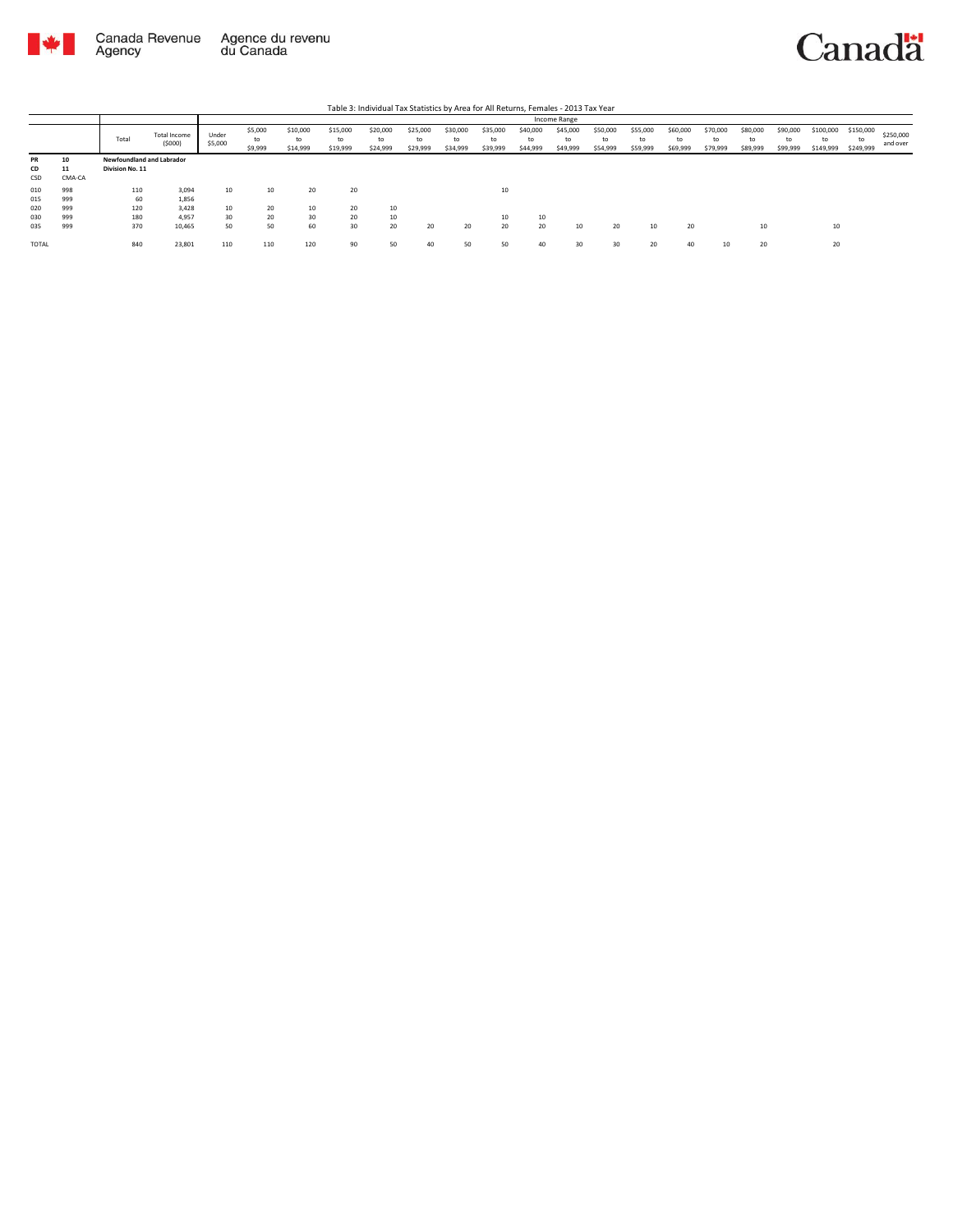

| Table 3: Individual Tax Statistics by Area for All Returns, Females - 2013 Tax Year |                    |                                              |                        |                  |                          |                            |                            |                            |                            |                            |                            |                            |                            |                            |                            |                            |                            |                            |                            |                              |                              |                       |
|-------------------------------------------------------------------------------------|--------------------|----------------------------------------------|------------------------|------------------|--------------------------|----------------------------|----------------------------|----------------------------|----------------------------|----------------------------|----------------------------|----------------------------|----------------------------|----------------------------|----------------------------|----------------------------|----------------------------|----------------------------|----------------------------|------------------------------|------------------------------|-----------------------|
|                                                                                     |                    |                                              |                        |                  | Income Range             |                            |                            |                            |                            |                            |                            |                            |                            |                            |                            |                            |                            |                            |                            |                              |                              |                       |
|                                                                                     |                    | Total                                        | Total Income<br>(5000) | Under<br>\$5,000 | \$5,000<br>to<br>\$9,999 | \$10,000<br>to<br>\$14,999 | \$15,000<br>to<br>\$19,999 | \$20,000<br>to<br>\$24,999 | \$25,000<br>to<br>\$29,999 | \$30,000<br>to<br>\$34,999 | \$35,000<br>to<br>\$39,999 | \$40,000<br>to<br>\$44,999 | \$45,000<br>to<br>\$49,999 | \$50,000<br>to<br>\$54,999 | \$55,000<br>to<br>\$59,999 | \$60,000<br>to<br>\$69,999 | \$70,000<br>to<br>\$79,999 | \$80,000<br>to<br>\$89,999 | \$90,000<br>to<br>\$99,999 | \$100,000<br>to<br>\$149,999 | \$150,000<br>to<br>\$249,999 | \$250,000<br>and over |
| <b>PR</b><br>CD<br>CSD                                                              | 10<br>11<br>CMA-CA | Newfoundland and Labrador<br>Division No. 11 |                        |                  |                          |                            |                            |                            |                            |                            |                            |                            |                            |                            |                            |                            |                            |                            |                            |                              |                              |                       |
| 010<br>015                                                                          | 998<br>999         | 110<br>60                                    | 3,094<br>1,856         | 10               | 10                       | 20                         | 20                         |                            |                            |                            | 10                         |                            |                            |                            |                            |                            |                            |                            |                            |                              |                              |                       |
| 020<br>030                                                                          | 999<br>999         | 120<br>180                                   | 3.428<br>4.957         | 10<br>30         | 20<br>20                 | 10<br>30                   | 20<br>20                   | 10<br>10                   |                            |                            | 10                         | 10                         |                            |                            |                            |                            |                            |                            |                            |                              |                              |                       |
| 035<br><b>TOTAL</b>                                                                 | 999                | 370<br>840                                   | 10,465<br>23,801       | 50<br>110        | 50<br>110                | 60<br>120                  | 30<br>90                   | 20<br>50                   | 20<br>40                   | 20                         | 20<br>50                   | 20<br>40                   | 10<br>30                   | 20<br>30                   | 10<br>20                   | 20<br>40                   | 10                         | 10<br>20                   |                            | 10<br>20                     |                              |                       |
|                                                                                     |                    |                                              |                        |                  |                          |                            |                            |                            |                            |                            |                            |                            |                            |                            |                            |                            |                            |                            |                            |                              |                              |                       |